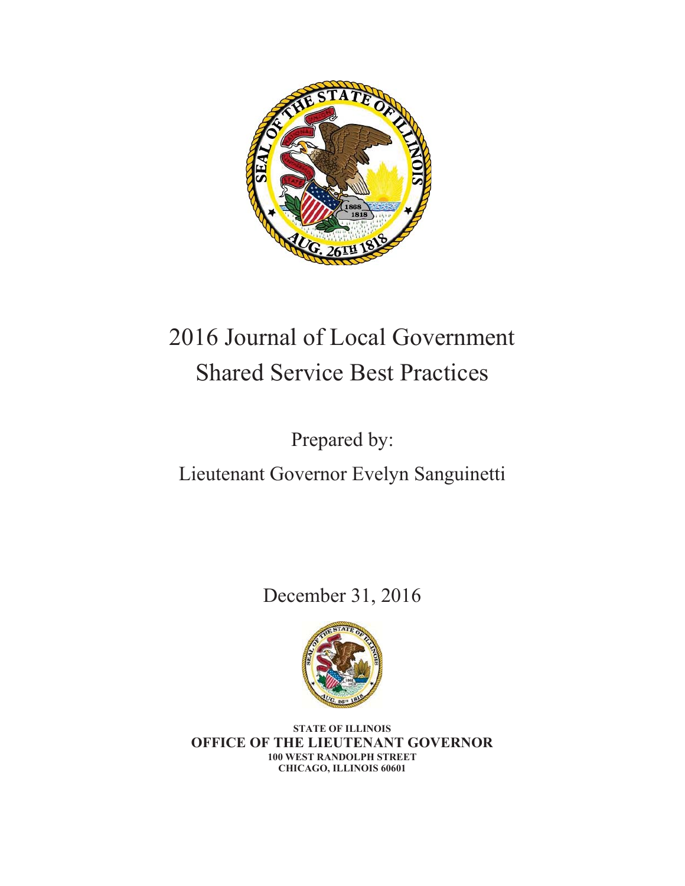

# 2016 Journal of Local Government Shared Service Best Practices

Prepared by:

Lieutenant Governor Evelyn Sanguinetti

December 31, 2016



**STATE OF ILLINOIS OFFICE OF THE LIEUTENANT GOVERNOR 100 WEST RANDOLPH STREET CHICAGO, ILLINOIS 60601**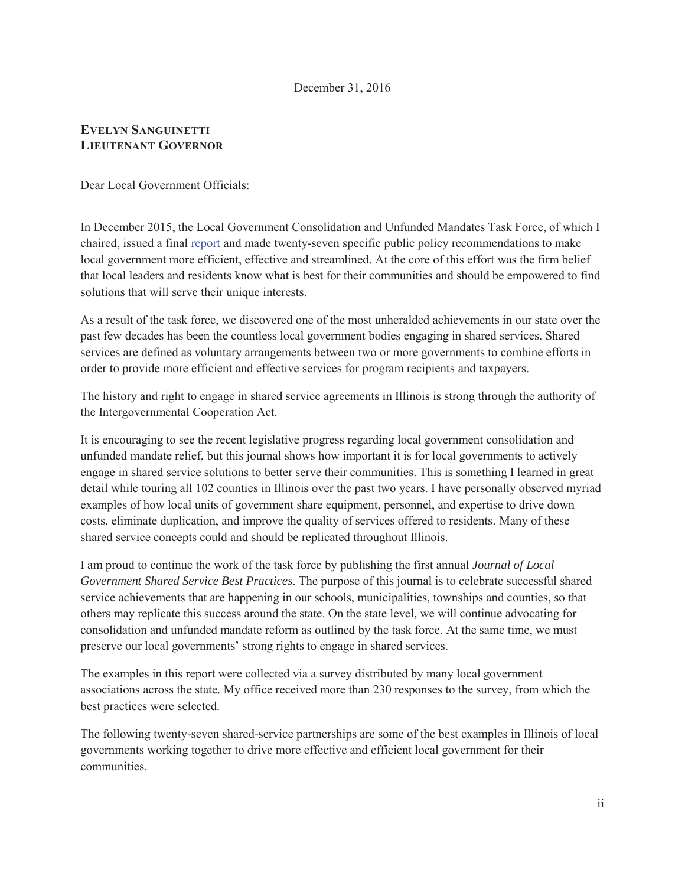#### December 31, 2016

# **EVELYN SANGUINETTI LIEUTENANT GOVERNOR**

Dear Local Government Officials:

In December 2015, the Local Government Consolidation and Unfunded Mandates Task Force, of which I chaired, issued a final report and made twenty-seven specific public policy recommendations to make local government more efficient, effective and streamlined. At the core of this effort was the firm belief that local leaders and residents know what is best for their communities and should be empowered to find solutions that will serve their unique interests.

As a result of the task force, we discovered one of the most unheralded achievements in our state over the past few decades has been the countless local government bodies engaging in shared services. Shared services are defined as voluntary arrangements between two or more governments to combine efforts in order to provide more efficient and effective services for program recipients and taxpayers.

The history and right to engage in shared service agreements in Illinois is strong through the authority of the Intergovernmental Cooperation Act.

It is encouraging to see the recent legislative progress regarding local government consolidation and unfunded mandate relief, but this journal shows how important it is for local governments to actively engage in shared service solutions to better serve their communities. This is something I learned in great detail while touring all 102 counties in Illinois over the past two years. I have personally observed myriad examples of how local units of government share equipment, personnel, and expertise to drive down costs, eliminate duplication, and improve the quality of services offered to residents. Many of these shared service concepts could and should be replicated throughout Illinois.

I am proud to continue the work of the task force by publishing the first annual *Journal of Local Government Shared Service Best Practices*. The purpose of this journal is to celebrate successful shared service achievements that are happening in our schools, municipalities, townships and counties, so that others may replicate this success around the state. On the state level, we will continue advocating for consolidation and unfunded mandate reform as outlined by the task force. At the same time, we must preserve our local governments' strong rights to engage in shared services.

The examples in this report were collected via a survey distributed by many local government associations across the state. My office received more than 230 responses to the survey, from which the best practices were selected.

The following twenty-seven shared-service partnerships are some of the best examples in Illinois of local governments working together to drive more effective and efficient local government for their communities.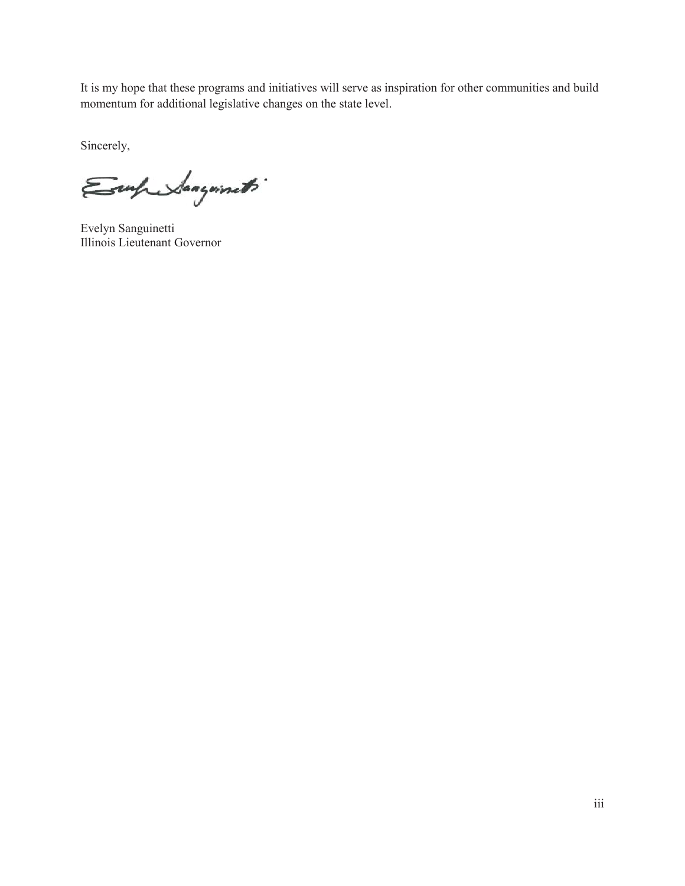It is my hope that these programs and initiatives will serve as inspiration for other communities and build momentum for additional legislative changes on the state level.

Sincerely,

Emprehangements

Evelyn Sanguinetti Illinois Lieutenant Governor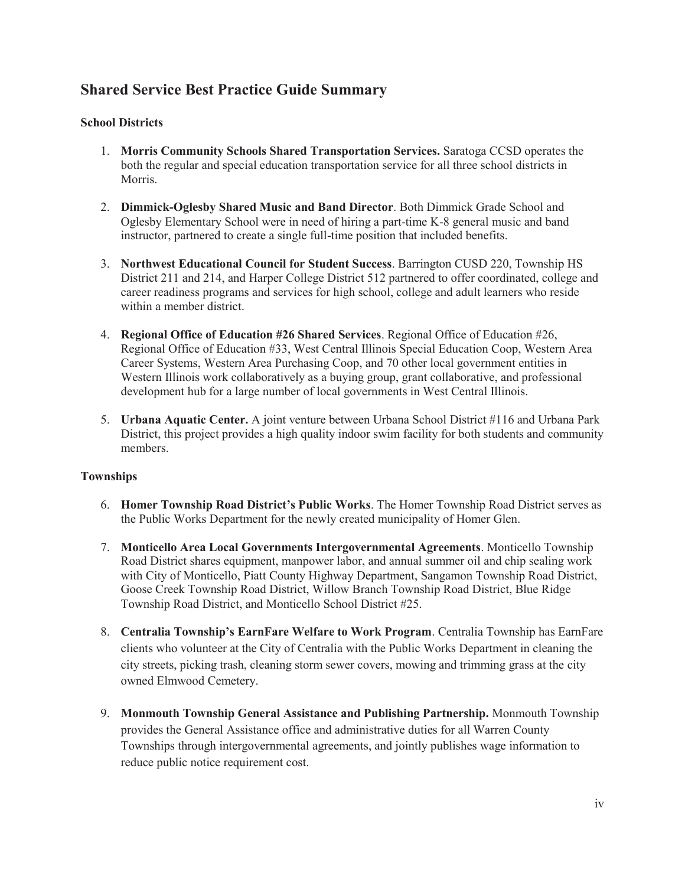# **Shared Service Best Practice Guide Summary**

# **School Districts**

- 1. **Morris Community Schools Shared Transportation Services.** Saratoga CCSD operates the both the regular and special education transportation service for all three school districts in Morris.
- 2. **Dimmick-Oglesby Shared Music and Band Director**. Both Dimmick Grade School and Oglesby Elementary School were in need of hiring a part-time K-8 general music and band instructor, partnered to create a single full-time position that included benefits.
- 3. **Northwest Educational Council for Student Success**. Barrington CUSD 220, Township HS District 211 and 214, and Harper College District 512 partnered to offer coordinated, college and career readiness programs and services for high school, college and adult learners who reside within a member district.
- 4. **Regional Office of Education #26 Shared Services**. Regional Office of Education #26, Regional Office of Education #33, West Central Illinois Special Education Coop, Western Area Career Systems, Western Area Purchasing Coop, and 70 other local government entities in Western Illinois work collaboratively as a buying group, grant collaborative, and professional development hub for a large number of local governments in West Central Illinois.
- 5. **Urbana Aquatic Center.** A joint venture between Urbana School District #116 and Urbana Park District, this project provides a high quality indoor swim facility for both students and community members.

# **Townships**

- 6. **Homer Township Road District's Public Works**. The Homer Township Road District serves as the Public Works Department for the newly created municipality of Homer Glen.
- 7. **Monticello Area Local Governments Intergovernmental Agreements**. Monticello Township Road District shares equipment, manpower labor, and annual summer oil and chip sealing work with City of Monticello, Piatt County Highway Department, Sangamon Township Road District, Goose Creek Township Road District, Willow Branch Township Road District, Blue Ridge Township Road District, and Monticello School District #25.
- 8. **Centralia Township's EarnFare Welfare to Work Program**. Centralia Township has EarnFare clients who volunteer at the City of Centralia with the Public Works Department in cleaning the city streets, picking trash, cleaning storm sewer covers, mowing and trimming grass at the city owned Elmwood Cemetery.
- 9. **Monmouth Township General Assistance and Publishing Partnership.** Monmouth Township provides the General Assistance office and administrative duties for all Warren County Townships through intergovernmental agreements, and jointly publishes wage information to reduce public notice requirement cost.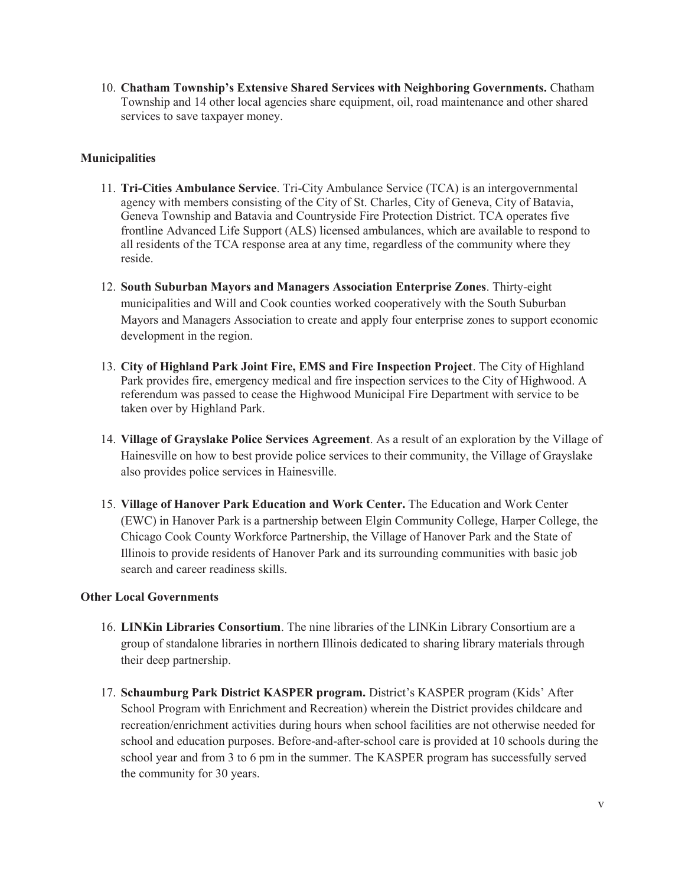10. **Chatham Township's Extensive Shared Services with Neighboring Governments.** Chatham Township and 14 other local agencies share equipment, oil, road maintenance and other shared services to save taxpayer money.

# **Municipalities**

- 11. **Tri-Cities Ambulance Service**. Tri-City Ambulance Service (TCA) is an intergovernmental agency with members consisting of the City of St. Charles, City of Geneva, City of Batavia, Geneva Township and Batavia and Countryside Fire Protection District. TCA operates five frontline Advanced Life Support (ALS) licensed ambulances, which are available to respond to all residents of the TCA response area at any time, regardless of the community where they reside.
- 12. **South Suburban Mayors and Managers Association Enterprise Zones**. Thirty-eight municipalities and Will and Cook counties worked cooperatively with the South Suburban Mayors and Managers Association to create and apply four enterprise zones to support economic development in the region.
- 13. **City of Highland Park Joint Fire, EMS and Fire Inspection Project**. The City of Highland Park provides fire, emergency medical and fire inspection services to the City of Highwood. A referendum was passed to cease the Highwood Municipal Fire Department with service to be taken over by Highland Park.
- 14. **Village of Grayslake Police Services Agreement**. As a result of an exploration by the Village of Hainesville on how to best provide police services to their community, the Village of Grayslake also provides police services in Hainesville.
- 15. **Village of Hanover Park Education and Work Center.** The Education and Work Center (EWC) in Hanover Park is a partnership between Elgin Community College, Harper College, the Chicago Cook County Workforce Partnership, the Village of Hanover Park and the State of Illinois to provide residents of Hanover Park and its surrounding communities with basic job search and career readiness skills.

#### **Other Local Governments**

- 16. **LINKin Libraries Consortium**. The nine libraries of the LINKin Library Consortium are a group of standalone libraries in northern Illinois dedicated to sharing library materials through their deep partnership.
- 17. **Schaumburg Park District KASPER program.** District's KASPER program (Kids' After School Program with Enrichment and Recreation) wherein the District provides childcare and recreation/enrichment activities during hours when school facilities are not otherwise needed for school and education purposes. Before-and-after-school care is provided at 10 schools during the school year and from 3 to 6 pm in the summer. The KASPER program has successfully served the community for 30 years.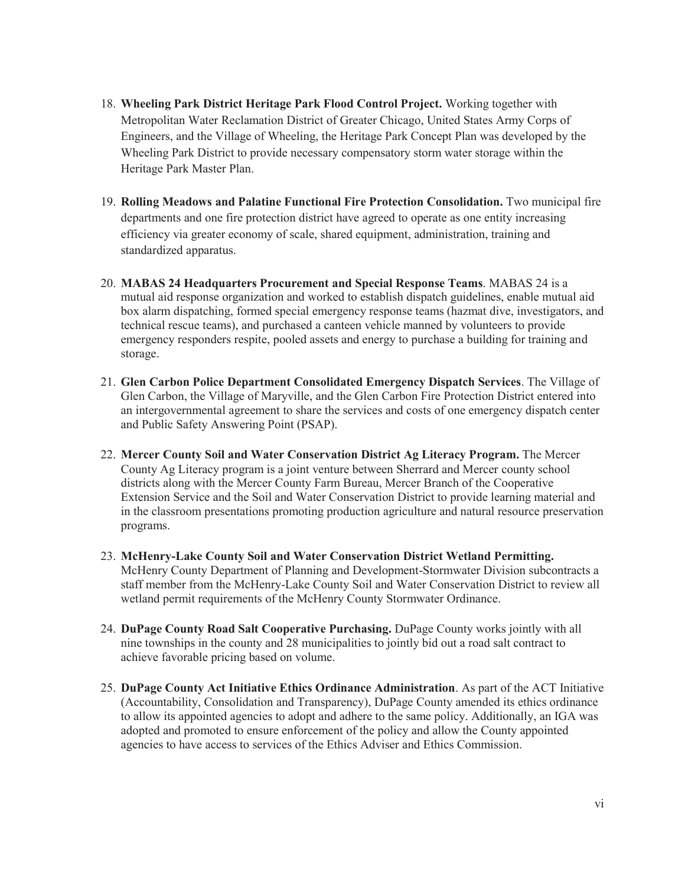- 18. **Wheeling Park District Heritage Park Flood Control Project.** Working together with Metropolitan Water Reclamation District of Greater Chicago, United States Army Corps of Engineers, and the Village of Wheeling, the Heritage Park Concept Plan was developed by the Wheeling Park District to provide necessary compensatory storm water storage within the Heritage Park Master Plan.
- 19. **Rolling Meadows and Palatine Functional Fire Protection Consolidation.** Two municipal fire departments and one fire protection district have agreed to operate as one entity increasing efficiency via greater economy of scale, shared equipment, administration, training and standardized apparatus.
- 20. **MABAS 24 Headquarters Procurement and Special Response Teams**. MABAS 24 is a mutual aid response organization and worked to establish dispatch guidelines, enable mutual aid box alarm dispatching, formed special emergency response teams (hazmat dive, investigators, and technical rescue teams), and purchased a canteen vehicle manned by volunteers to provide emergency responders respite, pooled assets and energy to purchase a building for training and storage.
- 21. **Glen Carbon Police Department Consolidated Emergency Dispatch Services**. The Village of Glen Carbon, the Village of Maryville, and the Glen Carbon Fire Protection District entered into an intergovernmental agreement to share the services and costs of one emergency dispatch center and Public Safety Answering Point (PSAP).
- 22. **Mercer County Soil and Water Conservation District Ag Literacy Program.** The Mercer County Ag Literacy program is a joint venture between Sherrard and Mercer county school districts along with the Mercer County Farm Bureau, Mercer Branch of the Cooperative Extension Service and the Soil and Water Conservation District to provide learning material and in the classroom presentations promoting production agriculture and natural resource preservation programs.
- 23. **McHenry-Lake County Soil and Water Conservation District Wetland Permitting.**  McHenry County Department of Planning and Development-Stormwater Division subcontracts a staff member from the McHenry-Lake County Soil and Water Conservation District to review all wetland permit requirements of the McHenry County Stormwater Ordinance.
- 24. **DuPage County Road Salt Cooperative Purchasing.** DuPage County works jointly with all nine townships in the county and 28 municipalities to jointly bid out a road salt contract to achieve favorable pricing based on volume.
- 25. **DuPage County Act Initiative Ethics Ordinance Administration**. As part of the ACT Initiative (Accountability, Consolidation and Transparency), DuPage County amended its ethics ordinance to allow its appointed agencies to adopt and adhere to the same policy. Additionally, an IGA was adopted and promoted to ensure enforcement of the policy and allow the County appointed agencies to have access to services of the Ethics Adviser and Ethics Commission.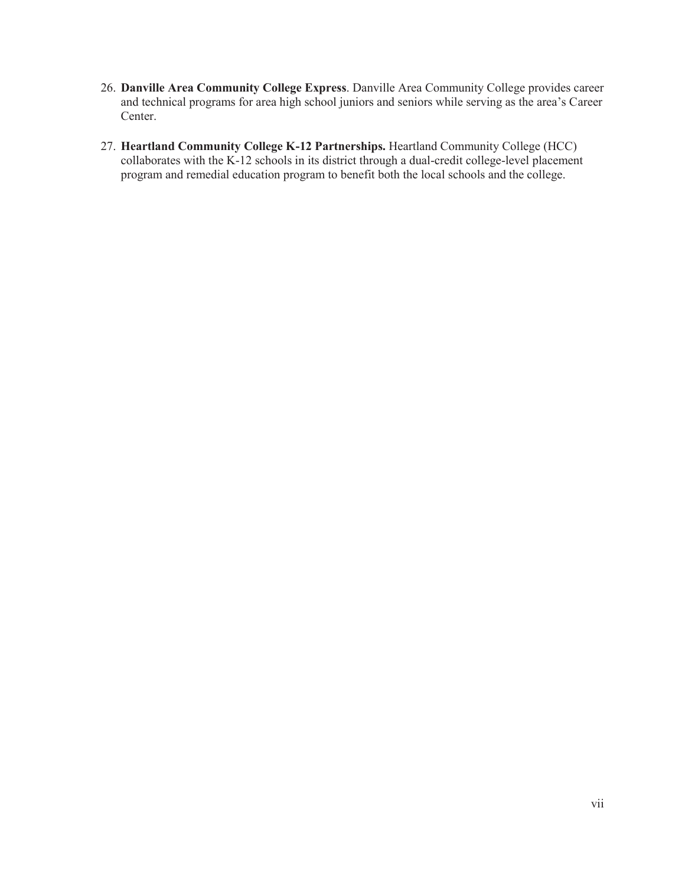- 26. **Danville Area Community College Express**. Danville Area Community College provides career and technical programs for area high school juniors and seniors while serving as the area's Career Center.
- 27. **Heartland Community College K-12 Partnerships.** Heartland Community College (HCC) collaborates with the K-12 schools in its district through a dual-credit college-level placement program and remedial education program to benefit both the local schools and the college.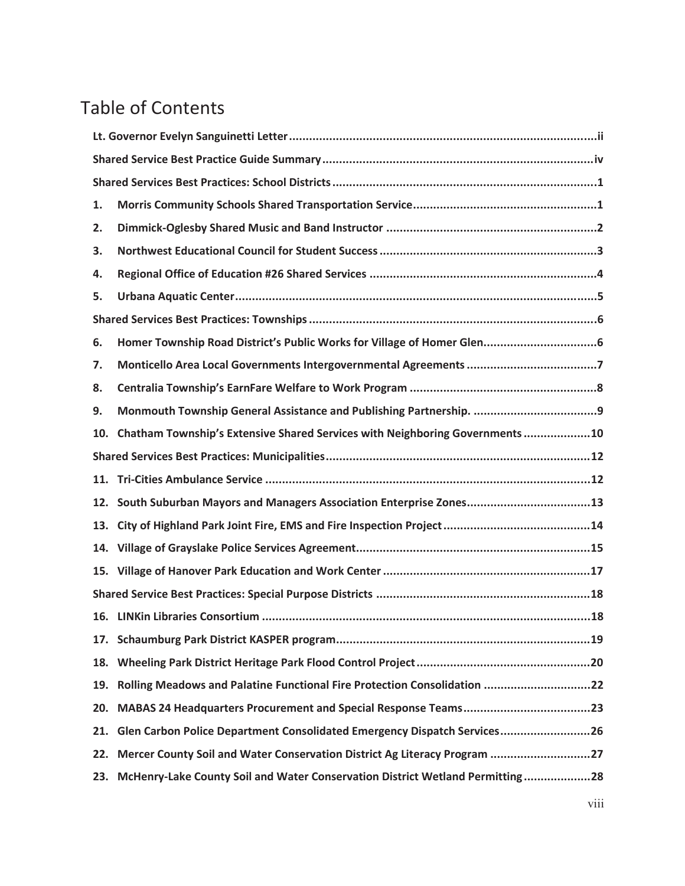# Table of Contents

| 1.  |                                                                               |  |  |
|-----|-------------------------------------------------------------------------------|--|--|
| 2.  |                                                                               |  |  |
| 3.  |                                                                               |  |  |
| 4.  |                                                                               |  |  |
| 5.  |                                                                               |  |  |
|     |                                                                               |  |  |
| 6.  |                                                                               |  |  |
| 7.  |                                                                               |  |  |
| 8.  |                                                                               |  |  |
| 9.  |                                                                               |  |  |
| 10. | Chatham Township's Extensive Shared Services with Neighboring Governments10   |  |  |
|     |                                                                               |  |  |
|     |                                                                               |  |  |
| 12. | South Suburban Mayors and Managers Association Enterprise Zones13             |  |  |
|     |                                                                               |  |  |
|     |                                                                               |  |  |
|     |                                                                               |  |  |
|     |                                                                               |  |  |
|     |                                                                               |  |  |
|     |                                                                               |  |  |
|     |                                                                               |  |  |
| 19. | Rolling Meadows and Palatine Functional Fire Protection Consolidation 22      |  |  |
| 20. |                                                                               |  |  |
| 21. | Glen Carbon Police Department Consolidated Emergency Dispatch Services26      |  |  |
| 22. | Mercer County Soil and Water Conservation District Ag Literacy Program 27     |  |  |
| 23. | McHenry-Lake County Soil and Water Conservation District Wetland Permitting28 |  |  |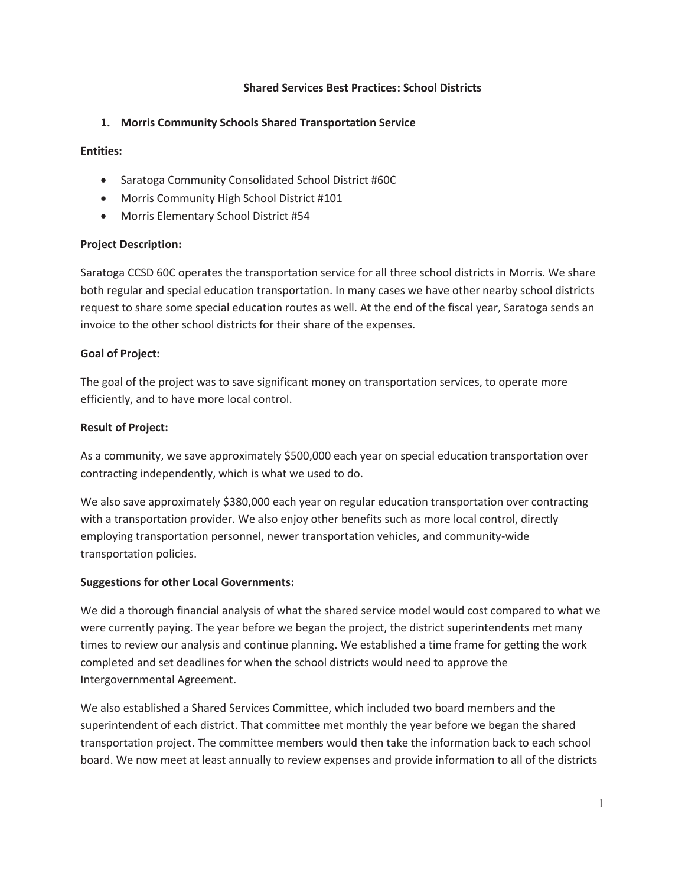#### **Shared Services Best Practices: School Districts**

# **1. Morris Community Schools Shared Transportation Service**

#### **Entities:**

- Saratoga Community Consolidated School District #60C
- Morris Community High School District #101
- Morris Elementary School District #54

# **Project Description:**

Saratoga CCSD 60C operates the transportation service for all three school districts in Morris. We share both regular and special education transportation. In many cases we have other nearby school districts request to share some special education routes as well. At the end of the fiscal year, Saratoga sends an invoice to the other school districts for their share of the expenses.

# **Goal of Project:**

The goal of the project was to save significant money on transportation services, to operate more efficiently, and to have more local control.

# **Result of Project:**

As a community, we save approximately \$500,000 each year on special education transportation over contracting independently, which is what we used to do.

We also save approximately \$380,000 each year on regular education transportation over contracting with a transportation provider. We also enjoy other benefits such as more local control, directly employing transportation personnel, newer transportation vehicles, and community-wide transportation policies.

# **Suggestions for other Local Governments:**

We did a thorough financial analysis of what the shared service model would cost compared to what we were currently paying. The year before we began the project, the district superintendents met many times to review our analysis and continue planning. We established a time frame for getting the work completed and set deadlines for when the school districts would need to approve the Intergovernmental Agreement.

We also established a Shared Services Committee, which included two board members and the superintendent of each district. That committee met monthly the year before we began the shared transportation project. The committee members would then take the information back to each school board. We now meet at least annually to review expenses and provide information to all of the districts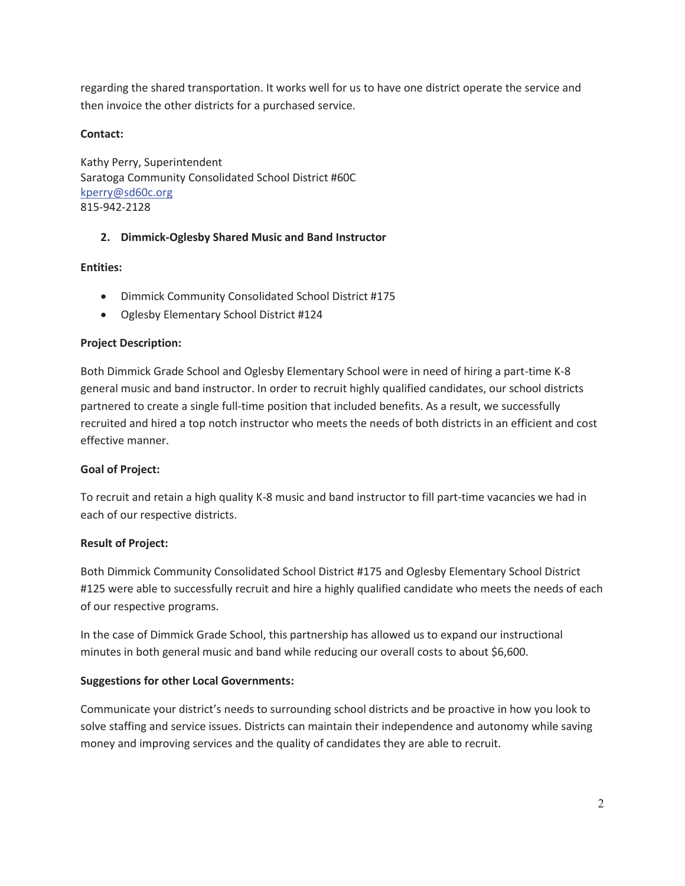regarding the shared transportation. It works well for us to have one district operate the service and then invoice the other districts for a purchased service.

#### **Contact:**

Kathy Perry, Superintendent Saratoga Community Consolidated School District #60C kperry@sd60c.org 815-942-2128

# **2. Dimmick-Oglesby Shared Music and Band Instructor**

#### **Entities:**

- Dimmick Community Consolidated School District #175
- Oglesby Elementary School District #124

#### **Project Description:**

Both Dimmick Grade School and Oglesby Elementary School were in need of hiring a part-time K-8 general music and band instructor. In order to recruit highly qualified candidates, our school districts partnered to create a single full-time position that included benefits. As a result, we successfully recruited and hired a top notch instructor who meets the needs of both districts in an efficient and cost effective manner.

#### **Goal of Project:**

To recruit and retain a high quality K-8 music and band instructor to fill part-time vacancies we had in each of our respective districts.

#### **Result of Project:**

Both Dimmick Community Consolidated School District #175 and Oglesby Elementary School District #125 were able to successfully recruit and hire a highly qualified candidate who meets the needs of each of our respective programs.

In the case of Dimmick Grade School, this partnership has allowed us to expand our instructional minutes in both general music and band while reducing our overall costs to about \$6,600.

#### **Suggestions for other Local Governments:**

Communicate your district's needs to surrounding school districts and be proactive in how you look to solve staffing and service issues. Districts can maintain their independence and autonomy while saving money and improving services and the quality of candidates they are able to recruit.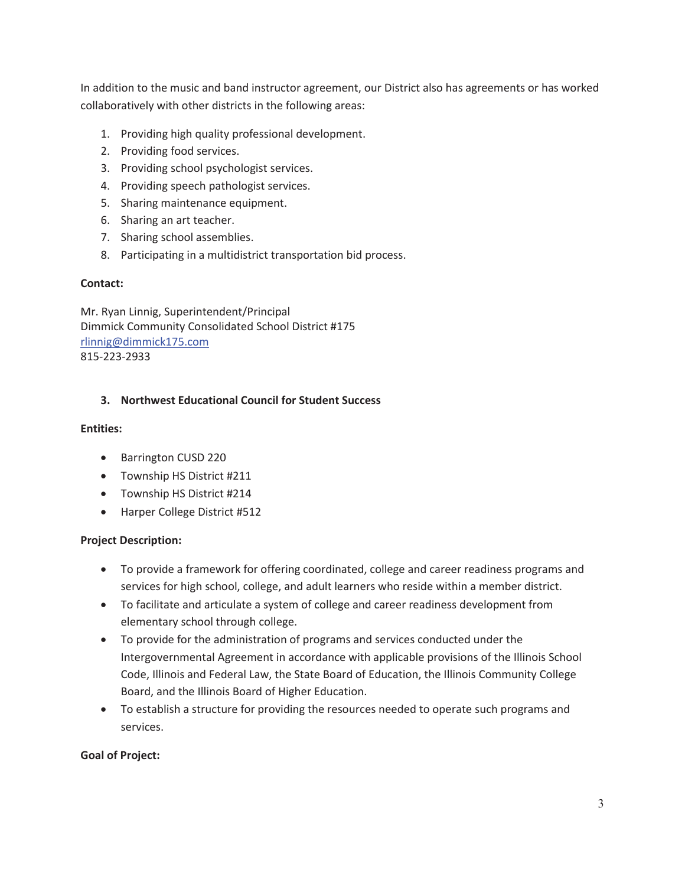In addition to the music and band instructor agreement, our District also has agreements or has worked collaboratively with other districts in the following areas:

- 1. Providing high quality professional development.
- 2. Providing food services.
- 3. Providing school psychologist services.
- 4. Providing speech pathologist services.
- 5. Sharing maintenance equipment.
- 6. Sharing an art teacher.
- 7. Sharing school assemblies.
- 8. Participating in a multidistrict transportation bid process.

#### **Contact:**

Mr. Ryan Linnig, Superintendent/Principal Dimmick Community Consolidated School District #175 rlinnig@dimmick175.com 815-223-2933

#### **3. Northwest Educational Council for Student Success**

#### **Entities:**

- Barrington CUSD 220
- Township HS District #211
- Township HS District #214
- Harper College District #512

#### **Project Description:**

- To provide a framework for offering coordinated, college and career readiness programs and services for high school, college, and adult learners who reside within a member district.
- To facilitate and articulate a system of college and career readiness development from elementary school through college.
- To provide for the administration of programs and services conducted under the Intergovernmental Agreement in accordance with applicable provisions of the Illinois School Code, Illinois and Federal Law, the State Board of Education, the Illinois Community College Board, and the Illinois Board of Higher Education.
- To establish a structure for providing the resources needed to operate such programs and services.

#### **Goal of Project:**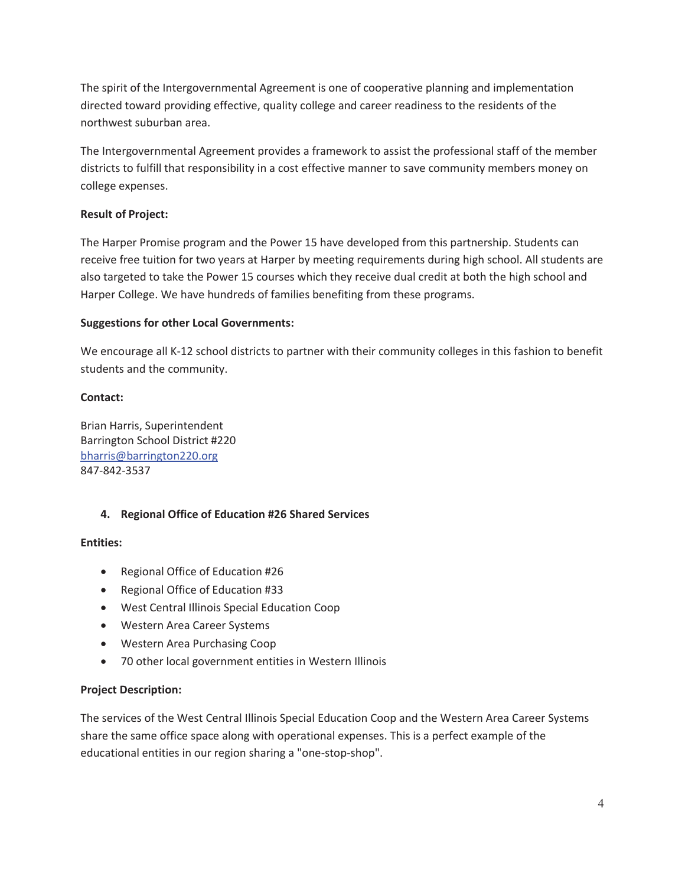The spirit of the Intergovernmental Agreement is one of cooperative planning and implementation directed toward providing effective, quality college and career readiness to the residents of the northwest suburban area.

The Intergovernmental Agreement provides a framework to assist the professional staff of the member districts to fulfill that responsibility in a cost effective manner to save community members money on college expenses.

# **Result of Project:**

The Harper Promise program and the Power 15 have developed from this partnership. Students can receive free tuition for two years at Harper by meeting requirements during high school. All students are also targeted to take the Power 15 courses which they receive dual credit at both the high school and Harper College. We have hundreds of families benefiting from these programs.

# **Suggestions for other Local Governments:**

We encourage all K-12 school districts to partner with their community colleges in this fashion to benefit students and the community.

# **Contact:**

Brian Harris, Superintendent Barrington School District #220 bharris@barrington220.org 847-842-3537

# **4. Regional Office of Education #26 Shared Services**

#### **Entities:**

- Regional Office of Education #26
- Regional Office of Education #33
- West Central Illinois Special Education Coop
- Western Area Career Systems
- Western Area Purchasing Coop
- 70 other local government entities in Western Illinois

#### **Project Description:**

The services of the West Central Illinois Special Education Coop and the Western Area Career Systems share the same office space along with operational expenses. This is a perfect example of the educational entities in our region sharing a "one-stop-shop".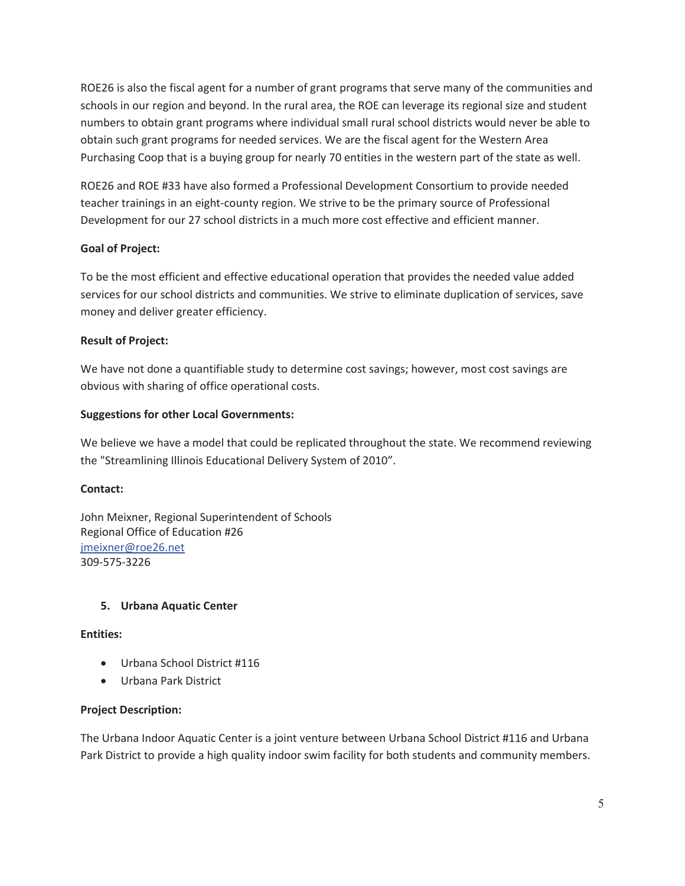ROE26 is also the fiscal agent for a number of grant programs that serve many of the communities and schools in our region and beyond. In the rural area, the ROE can leverage its regional size and student numbers to obtain grant programs where individual small rural school districts would never be able to obtain such grant programs for needed services. We are the fiscal agent for the Western Area Purchasing Coop that is a buying group for nearly 70 entities in the western part of the state as well.

ROE26 and ROE #33 have also formed a Professional Development Consortium to provide needed teacher trainings in an eight-county region. We strive to be the primary source of Professional Development for our 27 school districts in a much more cost effective and efficient manner.

# **Goal of Project:**

To be the most efficient and effective educational operation that provides the needed value added services for our school districts and communities. We strive to eliminate duplication of services, save money and deliver greater efficiency.

# **Result of Project:**

We have not done a quantifiable study to determine cost savings; however, most cost savings are obvious with sharing of office operational costs.

# **Suggestions for other Local Governments:**

We believe we have a model that could be replicated throughout the state. We recommend reviewing the "Streamlining Illinois Educational Delivery System of 2010".

#### **Contact:**

John Meixner, Regional Superintendent of Schools Regional Office of Education #26 jmeixner@roe26.net 309-575-3226

#### **5. Urbana Aquatic Center**

#### **Entities:**

- Urbana School District #116
- Urbana Park District

#### **Project Description:**

The Urbana Indoor Aquatic Center is a joint venture between Urbana School District #116 and Urbana Park District to provide a high quality indoor swim facility for both students and community members.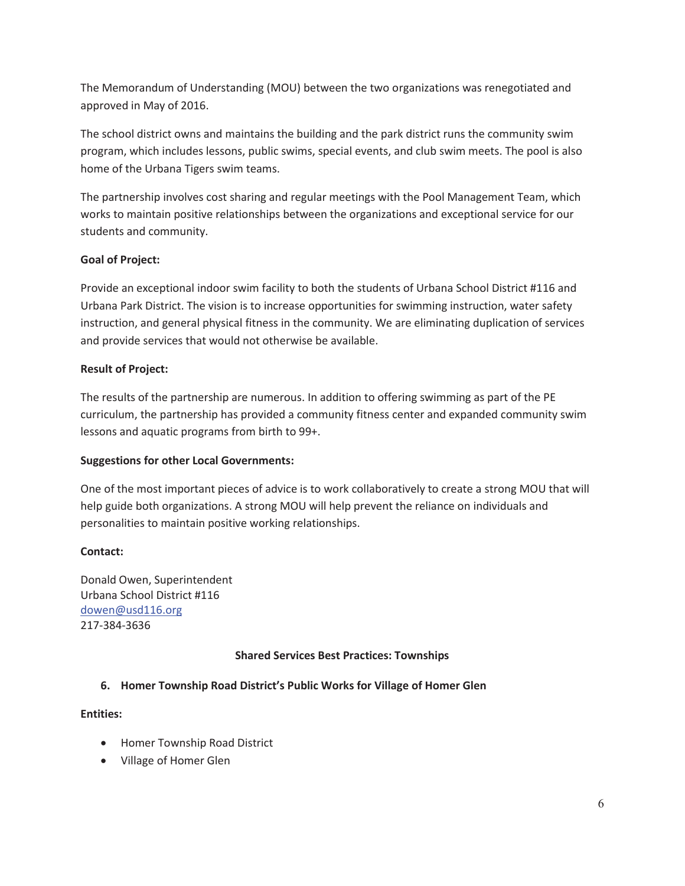The Memorandum of Understanding (MOU) between the two organizations was renegotiated and approved in May of 2016.

The school district owns and maintains the building and the park district runs the community swim program, which includes lessons, public swims, special events, and club swim meets. The pool is also home of the Urbana Tigers swim teams.

The partnership involves cost sharing and regular meetings with the Pool Management Team, which works to maintain positive relationships between the organizations and exceptional service for our students and community.

# **Goal of Project:**

Provide an exceptional indoor swim facility to both the students of Urbana School District #116 and Urbana Park District. The vision is to increase opportunities for swimming instruction, water safety instruction, and general physical fitness in the community. We are eliminating duplication of services and provide services that would not otherwise be available.

# **Result of Project:**

The results of the partnership are numerous. In addition to offering swimming as part of the PE curriculum, the partnership has provided a community fitness center and expanded community swim lessons and aquatic programs from birth to 99+.

# **Suggestions for other Local Governments:**

One of the most important pieces of advice is to work collaboratively to create a strong MOU that will help guide both organizations. A strong MOU will help prevent the reliance on individuals and personalities to maintain positive working relationships.

# **Contact:**

Donald Owen, Superintendent Urbana School District #116 dowen@usd116.org 217-384-3636

# **Shared Services Best Practices: Townships**

# **6. Homer Township Road District's Public Works for Village of Homer Glen**

# **Entities:**

- Homer Township Road District
- Village of Homer Glen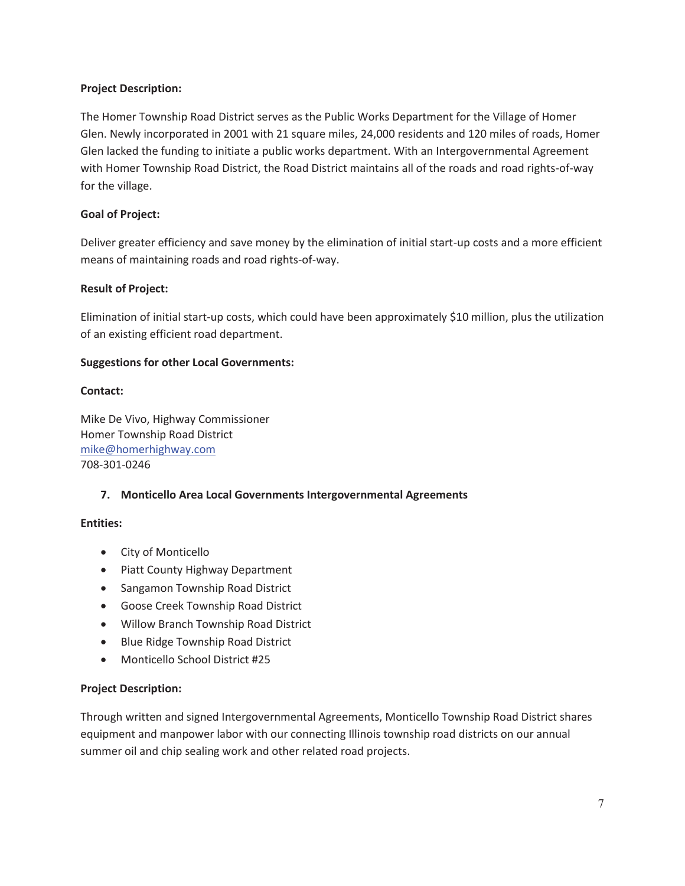# **Project Description:**

The Homer Township Road District serves as the Public Works Department for the Village of Homer Glen. Newly incorporated in 2001 with 21 square miles, 24,000 residents and 120 miles of roads, Homer Glen lacked the funding to initiate a public works department. With an Intergovernmental Agreement with Homer Township Road District, the Road District maintains all of the roads and road rights-of-way for the village.

# **Goal of Project:**

Deliver greater efficiency and save money by the elimination of initial start-up costs and a more efficient means of maintaining roads and road rights-of-way.

# **Result of Project:**

Elimination of initial start-up costs, which could have been approximately \$10 million, plus the utilization of an existing efficient road department.

# **Suggestions for other Local Governments:**

# **Contact:**

Mike De Vivo, Highway Commissioner Homer Township Road District mike@homerhighway.com 708-301-0246

# **7. Monticello Area Local Governments Intergovernmental Agreements**

#### **Entities:**

- City of Monticello
- Piatt County Highway Department
- Sangamon Township Road District
- **Goose Creek Township Road District**
- Willow Branch Township Road District
- Blue Ridge Township Road District
- Monticello School District #25

# **Project Description:**

Through written and signed Intergovernmental Agreements, Monticello Township Road District shares equipment and manpower labor with our connecting Illinois township road districts on our annual summer oil and chip sealing work and other related road projects.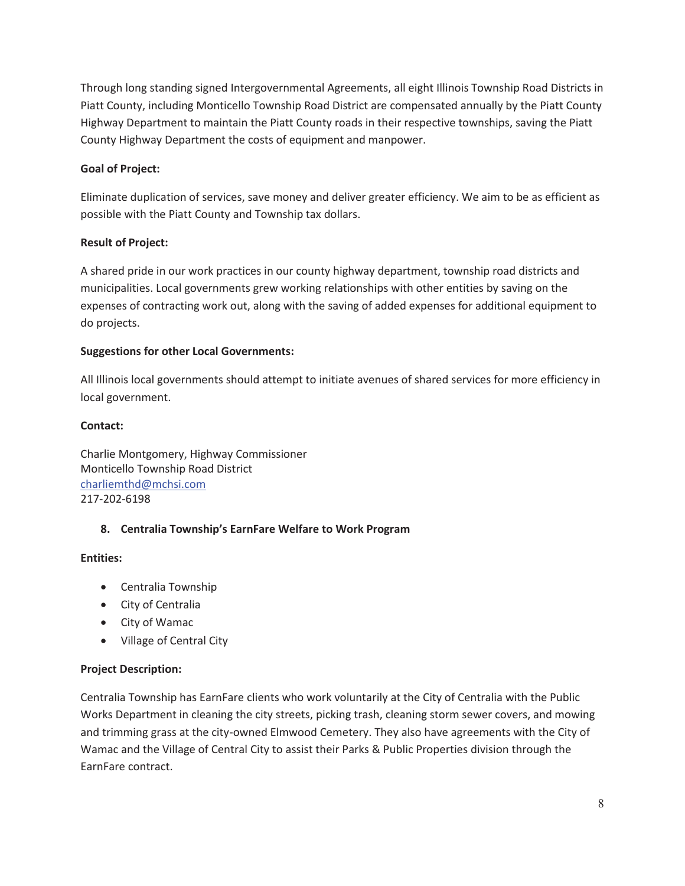Through long standing signed Intergovernmental Agreements, all eight Illinois Township Road Districts in Piatt County, including Monticello Township Road District are compensated annually by the Piatt County Highway Department to maintain the Piatt County roads in their respective townships, saving the Piatt County Highway Department the costs of equipment and manpower.

# **Goal of Project:**

Eliminate duplication of services, save money and deliver greater efficiency. We aim to be as efficient as possible with the Piatt County and Township tax dollars.

# **Result of Project:**

A shared pride in our work practices in our county highway department, township road districts and municipalities. Local governments grew working relationships with other entities by saving on the expenses of contracting work out, along with the saving of added expenses for additional equipment to do projects.

# **Suggestions for other Local Governments:**

All Illinois local governments should attempt to initiate avenues of shared services for more efficiency in local government.

# **Contact:**

Charlie Montgomery, Highway Commissioner Monticello Township Road District charliemthd@mchsi.com 217-202-6198

# **8. Centralia Township's EarnFare Welfare to Work Program**

# **Entities:**

- Centralia Township
- City of Centralia
- City of Wamac
- Village of Central City

# **Project Description:**

Centralia Township has EarnFare clients who work voluntarily at the City of Centralia with the Public Works Department in cleaning the city streets, picking trash, cleaning storm sewer covers, and mowing and trimming grass at the city-owned Elmwood Cemetery. They also have agreements with the City of Wamac and the Village of Central City to assist their Parks & Public Properties division through the EarnFare contract.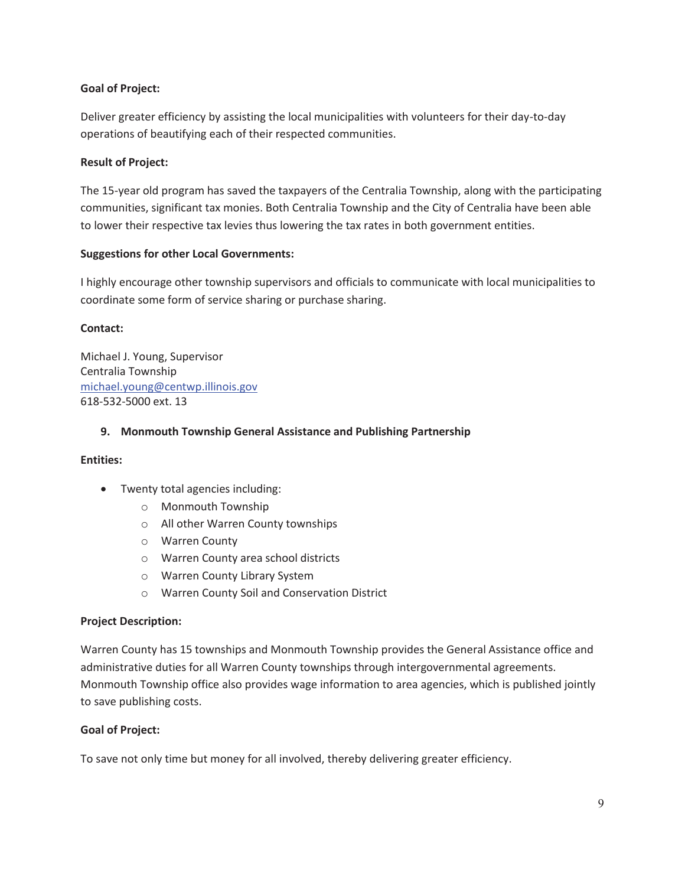# **Goal of Project:**

Deliver greater efficiency by assisting the local municipalities with volunteers for their day-to-day operations of beautifying each of their respected communities.

# **Result of Project:**

The 15-year old program has saved the taxpayers of the Centralia Township, along with the participating communities, significant tax monies. Both Centralia Township and the City of Centralia have been able to lower their respective tax levies thus lowering the tax rates in both government entities.

# **Suggestions for other Local Governments:**

I highly encourage other township supervisors and officials to communicate with local municipalities to coordinate some form of service sharing or purchase sharing.

# **Contact:**

Michael J. Young, Supervisor Centralia Township michael.young@centwp.illinois.gov 618-532-5000 ext. 13

# **9. Monmouth Township General Assistance and Publishing Partnership**

#### **Entities:**

- Twenty total agencies including:
	- o Monmouth Township
	- o All other Warren County townships
	- o Warren County
	- o Warren County area school districts
	- o Warren County Library System
	- o Warren County Soil and Conservation District

#### **Project Description:**

Warren County has 15 townships and Monmouth Township provides the General Assistance office and administrative duties for all Warren County townships through intergovernmental agreements. Monmouth Township office also provides wage information to area agencies, which is published jointly to save publishing costs.

#### **Goal of Project:**

To save not only time but money for all involved, thereby delivering greater efficiency.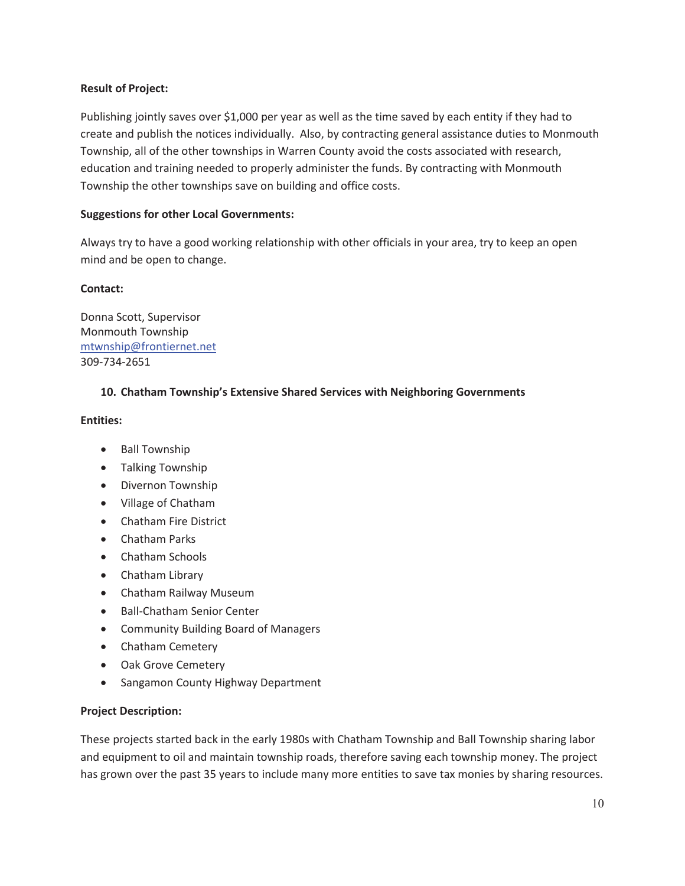# **Result of Project:**

Publishing jointly saves over \$1,000 per year as well as the time saved by each entity if they had to create and publish the notices individually. Also, by contracting general assistance duties to Monmouth Township, all of the other townships in Warren County avoid the costs associated with research, education and training needed to properly administer the funds. By contracting with Monmouth Township the other townships save on building and office costs.

# **Suggestions for other Local Governments:**

Always try to have a good working relationship with other officials in your area, try to keep an open mind and be open to change.

#### **Contact:**

Donna Scott, Supervisor Monmouth Township mtwnship@frontiernet.net 309-734-2651

# **10. Chatham Township's Extensive Shared Services with Neighboring Governments**

#### **Entities:**

- Ball Township
- Talking Township
- Divernon Township
- Village of Chatham
- Chatham Fire District
- Chatham Parks
- Chatham Schools
- Chatham Library
- Chatham Railway Museum
- Ball-Chatham Senior Center
- Community Building Board of Managers
- Chatham Cemetery
- Oak Grove Cemetery
- Sangamon County Highway Department

#### **Project Description:**

These projects started back in the early 1980s with Chatham Township and Ball Township sharing labor and equipment to oil and maintain township roads, therefore saving each township money. The project has grown over the past 35 years to include many more entities to save tax monies by sharing resources.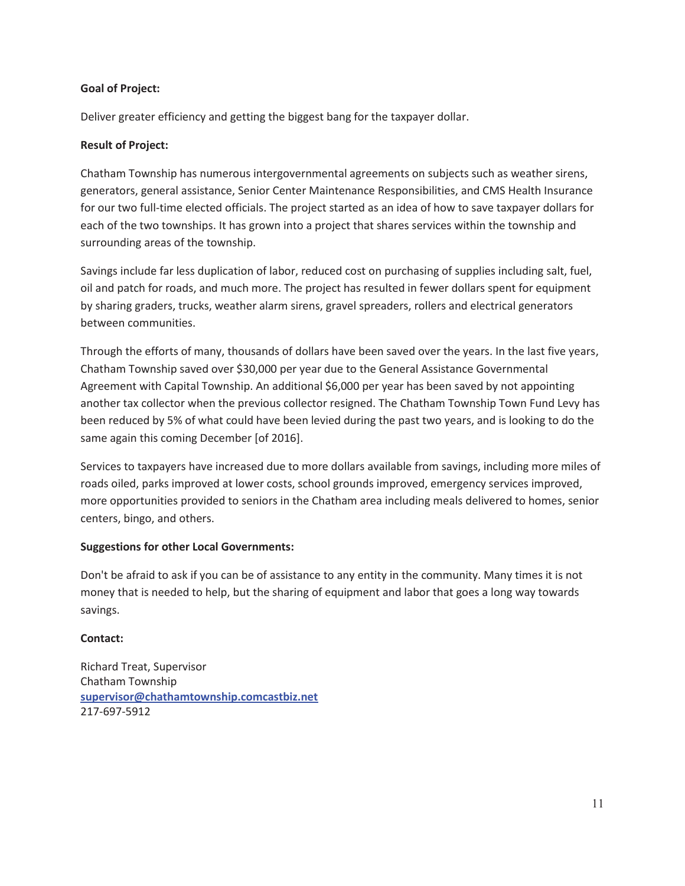#### **Goal of Project:**

Deliver greater efficiency and getting the biggest bang for the taxpayer dollar.

# **Result of Project:**

Chatham Township has numerous intergovernmental agreements on subjects such as weather sirens, generators, general assistance, Senior Center Maintenance Responsibilities, and CMS Health Insurance for our two full-time elected officials. The project started as an idea of how to save taxpayer dollars for each of the two townships. It has grown into a project that shares services within the township and surrounding areas of the township.

Savings include far less duplication of labor, reduced cost on purchasing of supplies including salt, fuel, oil and patch for roads, and much more. The project has resulted in fewer dollars spent for equipment by sharing graders, trucks, weather alarm sirens, gravel spreaders, rollers and electrical generators between communities.

Through the efforts of many, thousands of dollars have been saved over the years. In the last five years, Chatham Township saved over \$30,000 per year due to the General Assistance Governmental Agreement with Capital Township. An additional \$6,000 per year has been saved by not appointing another tax collector when the previous collector resigned. The Chatham Township Town Fund Levy has been reduced by 5% of what could have been levied during the past two years, and is looking to do the same again this coming December [of 2016].

Services to taxpayers have increased due to more dollars available from savings, including more miles of roads oiled, parks improved at lower costs, school grounds improved, emergency services improved, more opportunities provided to seniors in the Chatham area including meals delivered to homes, senior centers, bingo, and others.

#### **Suggestions for other Local Governments:**

Don't be afraid to ask if you can be of assistance to any entity in the community. Many times it is not money that is needed to help, but the sharing of equipment and labor that goes a long way towards savings.

#### **Contact:**

Richard Treat, Supervisor Chatham Township **supervisor@chathamtownship.comcastbiz.net** 217-697-5912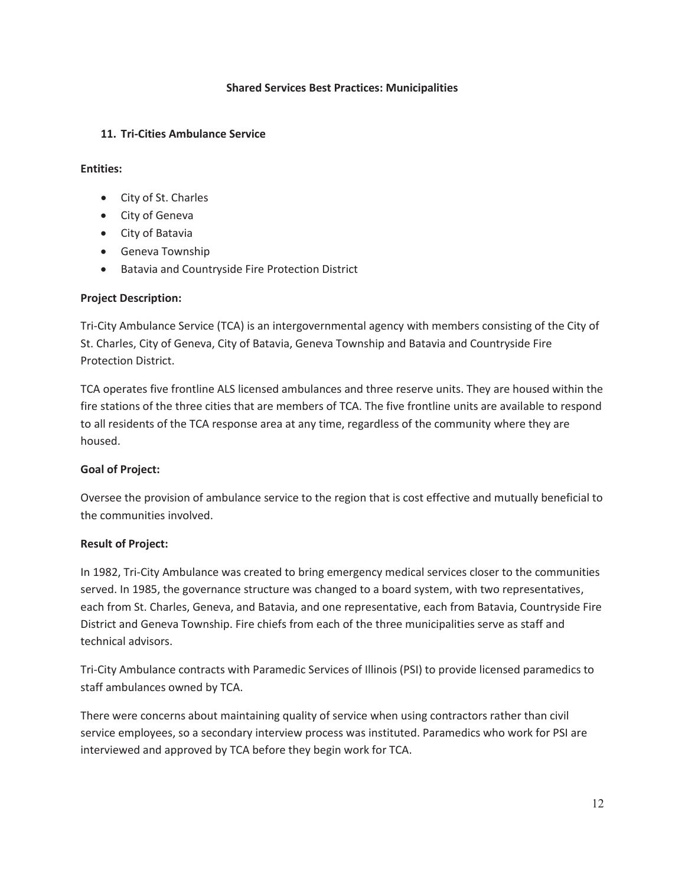#### **Shared Services Best Practices: Municipalities**

#### **11. Tri-Cities Ambulance Service**

#### **Entities:**

- City of St. Charles
- City of Geneva
- City of Batavia
- Geneva Township
- **•** Batavia and Countryside Fire Protection District

#### **Project Description:**

Tri-City Ambulance Service (TCA) is an intergovernmental agency with members consisting of the City of St. Charles, City of Geneva, City of Batavia, Geneva Township and Batavia and Countryside Fire Protection District.

TCA operates five frontline ALS licensed ambulances and three reserve units. They are housed within the fire stations of the three cities that are members of TCA. The five frontline units are available to respond to all residents of the TCA response area at any time, regardless of the community where they are housed.

#### **Goal of Project:**

Oversee the provision of ambulance service to the region that is cost effective and mutually beneficial to the communities involved.

#### **Result of Project:**

In 1982, Tri-City Ambulance was created to bring emergency medical services closer to the communities served. In 1985, the governance structure was changed to a board system, with two representatives, each from St. Charles, Geneva, and Batavia, and one representative, each from Batavia, Countryside Fire District and Geneva Township. Fire chiefs from each of the three municipalities serve as staff and technical advisors.

Tri-City Ambulance contracts with Paramedic Services of Illinois (PSI) to provide licensed paramedics to staff ambulances owned by TCA.

There were concerns about maintaining quality of service when using contractors rather than civil service employees, so a secondary interview process was instituted. Paramedics who work for PSI are interviewed and approved by TCA before they begin work for TCA.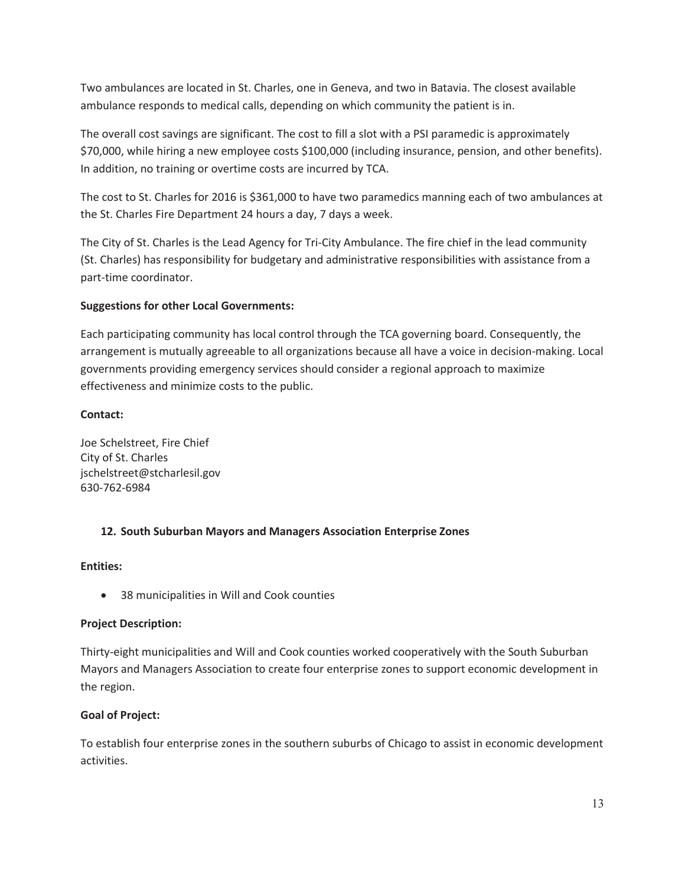Two ambulances are located in St. Charles, one in Geneva, and two in Batavia. The closest available ambulance responds to medical calls, depending on which community the patient is in.

The overall cost savings are significant. The cost to fill a slot with a PSI paramedic is approximately \$70,000, while hiring a new employee costs \$100,000 (including insurance, pension, and other benefits). In addition, no training or overtime costs are incurred by TCA.

The cost to St. Charles for 2016 is \$361,000 to have two paramedics manning each of two ambulances at the St. Charles Fire Department 24 hours a day, 7 days a week.

The City of St. Charles is the Lead Agency for Tri-City Ambulance. The fire chief in the lead community (St. Charles) has responsibility for budgetary and administrative responsibilities with assistance from a part-time coordinator.

# **Suggestions for other Local Governments:**

Each participating community has local control through the TCA governing board. Consequently, the arrangement is mutually agreeable to all organizations because all have a voice in decision-making. Local governments providing emergency services should consider a regional approach to maximize effectiveness and minimize costs to the public.

#### **Contact:**

Joe Schelstreet, Fire Chief City of St. Charles jschelstreet@stcharlesil.gov 630-762-6984

# **12. South Suburban Mayors and Managers Association Enterprise Zones**

#### **Entities:**

• 38 municipalities in Will and Cook counties

# **Project Description:**

Thirty-eight municipalities and Will and Cook counties worked cooperatively with the South Suburban Mayors and Managers Association to create four enterprise zones to support economic development in the region.

# **Goal of Project:**

To establish four enterprise zones in the southern suburbs of Chicago to assist in economic development activities.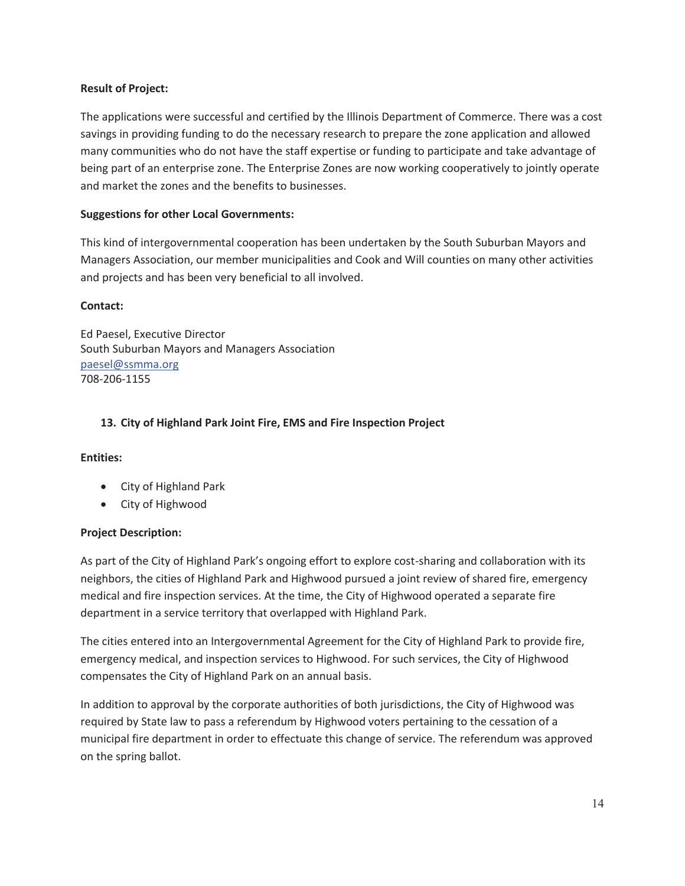# **Result of Project:**

The applications were successful and certified by the Illinois Department of Commerce. There was a cost savings in providing funding to do the necessary research to prepare the zone application and allowed many communities who do not have the staff expertise or funding to participate and take advantage of being part of an enterprise zone. The Enterprise Zones are now working cooperatively to jointly operate and market the zones and the benefits to businesses.

# **Suggestions for other Local Governments:**

This kind of intergovernmental cooperation has been undertaken by the South Suburban Mayors and Managers Association, our member municipalities and Cook and Will counties on many other activities and projects and has been very beneficial to all involved.

#### **Contact:**

Ed Paesel, Executive Director South Suburban Mayors and Managers Association paesel@ssmma.org 708-206-1155

# **13. City of Highland Park Joint Fire, EMS and Fire Inspection Project**

#### **Entities:**

- City of Highland Park
- City of Highwood

#### **Project Description:**

As part of the City of Highland Park's ongoing effort to explore cost-sharing and collaboration with its neighbors, the cities of Highland Park and Highwood pursued a joint review of shared fire, emergency medical and fire inspection services. At the time, the City of Highwood operated a separate fire department in a service territory that overlapped with Highland Park.

The cities entered into an Intergovernmental Agreement for the City of Highland Park to provide fire, emergency medical, and inspection services to Highwood. For such services, the City of Highwood compensates the City of Highland Park on an annual basis.

In addition to approval by the corporate authorities of both jurisdictions, the City of Highwood was required by State law to pass a referendum by Highwood voters pertaining to the cessation of a municipal fire department in order to effectuate this change of service. The referendum was approved on the spring ballot.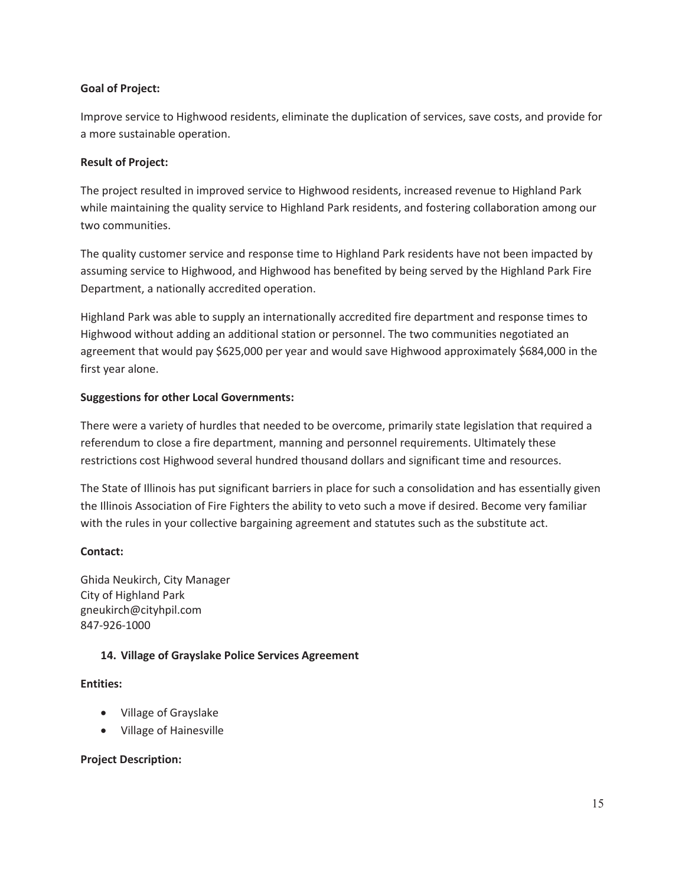#### **Goal of Project:**

Improve service to Highwood residents, eliminate the duplication of services, save costs, and provide for a more sustainable operation.

# **Result of Project:**

The project resulted in improved service to Highwood residents, increased revenue to Highland Park while maintaining the quality service to Highland Park residents, and fostering collaboration among our two communities.

The quality customer service and response time to Highland Park residents have not been impacted by assuming service to Highwood, and Highwood has benefited by being served by the Highland Park Fire Department, a nationally accredited operation.

Highland Park was able to supply an internationally accredited fire department and response times to Highwood without adding an additional station or personnel. The two communities negotiated an agreement that would pay \$625,000 per year and would save Highwood approximately \$684,000 in the first year alone.

# **Suggestions for other Local Governments:**

There were a variety of hurdles that needed to be overcome, primarily state legislation that required a referendum to close a fire department, manning and personnel requirements. Ultimately these restrictions cost Highwood several hundred thousand dollars and significant time and resources.

The State of Illinois has put significant barriers in place for such a consolidation and has essentially given the Illinois Association of Fire Fighters the ability to veto such a move if desired. Become very familiar with the rules in your collective bargaining agreement and statutes such as the substitute act.

# **Contact:**

Ghida Neukirch, City Manager City of Highland Park gneukirch@cityhpil.com 847-926-1000

# **14. Village of Grayslake Police Services Agreement**

#### **Entities:**

- Village of Grayslake
- Village of Hainesville

#### **Project Description:**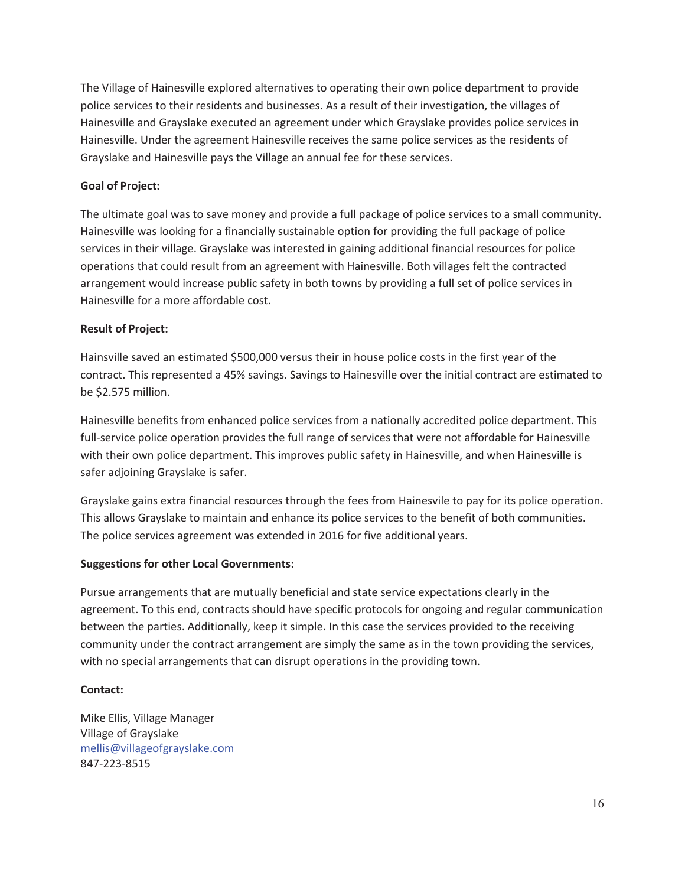The Village of Hainesville explored alternatives to operating their own police department to provide police services to their residents and businesses. As a result of their investigation, the villages of Hainesville and Grayslake executed an agreement under which Grayslake provides police services in Hainesville. Under the agreement Hainesville receives the same police services as the residents of Grayslake and Hainesville pays the Village an annual fee for these services.

# **Goal of Project:**

The ultimate goal was to save money and provide a full package of police services to a small community. Hainesville was looking for a financially sustainable option for providing the full package of police services in their village. Grayslake was interested in gaining additional financial resources for police operations that could result from an agreement with Hainesville. Both villages felt the contracted arrangement would increase public safety in both towns by providing a full set of police services in Hainesville for a more affordable cost.

# **Result of Project:**

Hainsville saved an estimated \$500,000 versus their in house police costs in the first year of the contract. This represented a 45% savings. Savings to Hainesville over the initial contract are estimated to be \$2.575 million.

Hainesville benefits from enhanced police services from a nationally accredited police department. This full-service police operation provides the full range of services that were not affordable for Hainesville with their own police department. This improves public safety in Hainesville, and when Hainesville is safer adjoining Grayslake is safer.

Grayslake gains extra financial resources through the fees from Hainesvile to pay for its police operation. This allows Grayslake to maintain and enhance its police services to the benefit of both communities. The police services agreement was extended in 2016 for five additional years.

#### **Suggestions for other Local Governments:**

Pursue arrangements that are mutually beneficial and state service expectations clearly in the agreement. To this end, contracts should have specific protocols for ongoing and regular communication between the parties. Additionally, keep it simple. In this case the services provided to the receiving community under the contract arrangement are simply the same as in the town providing the services, with no special arrangements that can disrupt operations in the providing town.

#### **Contact:**

Mike Ellis, Village Manager Village of Grayslake mellis@villageofgrayslake.com 847-223-8515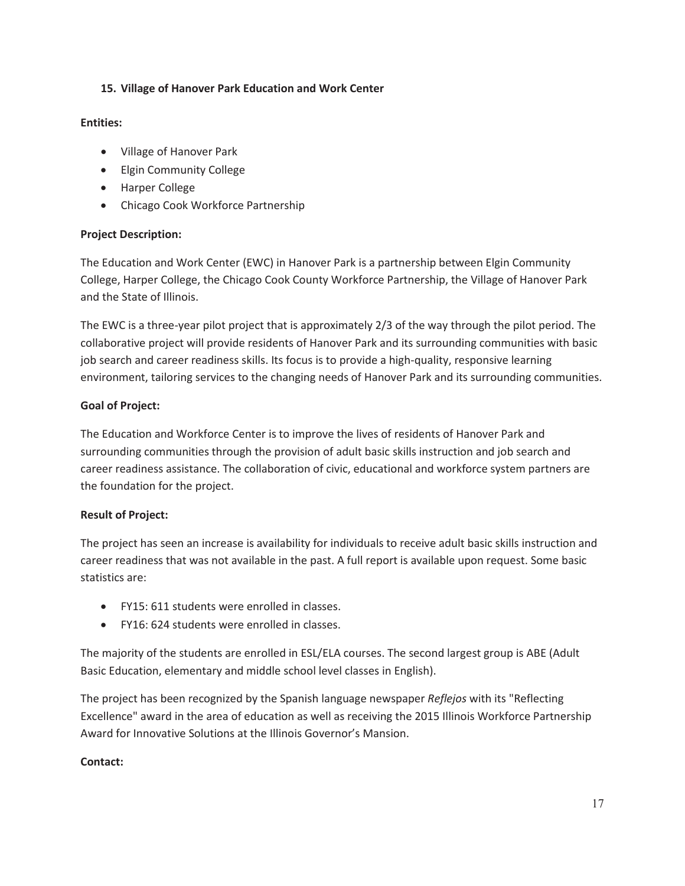# **15. Village of Hanover Park Education and Work Center**

#### **Entities:**

- Village of Hanover Park
- Elgin Community College
- Harper College
- Chicago Cook Workforce Partnership

# **Project Description:**

The Education and Work Center (EWC) in Hanover Park is a partnership between Elgin Community College, Harper College, the Chicago Cook County Workforce Partnership, the Village of Hanover Park and the State of Illinois.

The EWC is a three-year pilot project that is approximately 2/3 of the way through the pilot period. The collaborative project will provide residents of Hanover Park and its surrounding communities with basic job search and career readiness skills. Its focus is to provide a high-quality, responsive learning environment, tailoring services to the changing needs of Hanover Park and its surrounding communities.

# **Goal of Project:**

The Education and Workforce Center is to improve the lives of residents of Hanover Park and surrounding communities through the provision of adult basic skills instruction and job search and career readiness assistance. The collaboration of civic, educational and workforce system partners are the foundation for the project.

# **Result of Project:**

The project has seen an increase is availability for individuals to receive adult basic skills instruction and career readiness that was not available in the past. A full report is available upon request. Some basic statistics are:

- FY15: 611 students were enrolled in classes.
- FY16: 624 students were enrolled in classes.

The majority of the students are enrolled in ESL/ELA courses. The second largest group is ABE (Adult Basic Education, elementary and middle school level classes in English).

The project has been recognized by the Spanish language newspaper *Reflejos* with its "Reflecting Excellence" award in the area of education as well as receiving the 2015 Illinois Workforce Partnership Award for Innovative Solutions at the Illinois Governor's Mansion.

#### **Contact:**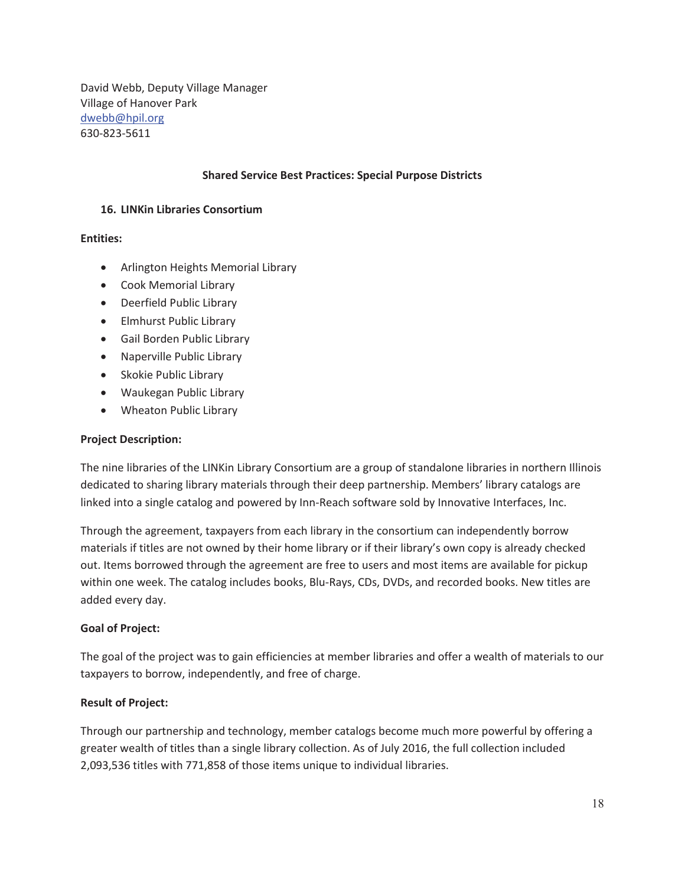David Webb, Deputy Village Manager Village of Hanover Park dwebb@hpil.org 630-823-5611

#### **Shared Service Best Practices: Special Purpose Districts**

#### **16. LINKin Libraries Consortium**

#### **Entities:**

- Arlington Heights Memorial Library
- Cook Memorial Library
- Deerfield Public Library
- Elmhurst Public Library
- **•** Gail Borden Public Library
- Naperville Public Library
- Skokie Public Library
- Waukegan Public Library
- Wheaton Public Library

#### **Project Description:**

The nine libraries of the LINKin Library Consortium are a group of standalone libraries in northern Illinois dedicated to sharing library materials through their deep partnership. Members' library catalogs are linked into a single catalog and powered by Inn-Reach software sold by Innovative Interfaces, Inc.

Through the agreement, taxpayers from each library in the consortium can independently borrow materials if titles are not owned by their home library or if their library's own copy is already checked out. Items borrowed through the agreement are free to users and most items are available for pickup within one week. The catalog includes books, Blu-Rays, CDs, DVDs, and recorded books. New titles are added every day.

#### **Goal of Project:**

The goal of the project was to gain efficiencies at member libraries and offer a wealth of materials to our taxpayers to borrow, independently, and free of charge.

#### **Result of Project:**

Through our partnership and technology, member catalogs become much more powerful by offering a greater wealth of titles than a single library collection. As of July 2016, the full collection included 2,093,536 titles with 771,858 of those items unique to individual libraries.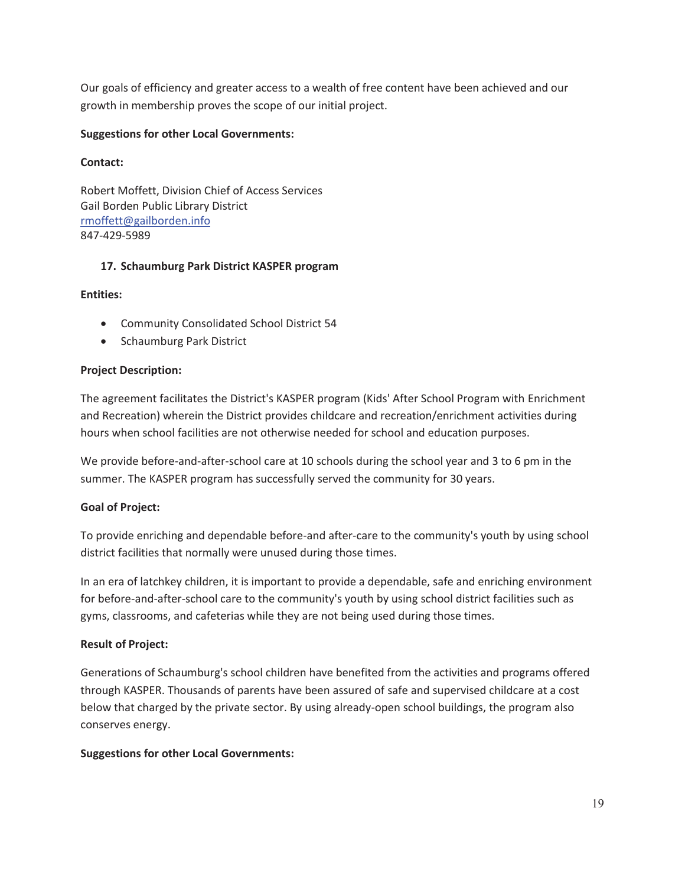Our goals of efficiency and greater access to a wealth of free content have been achieved and our growth in membership proves the scope of our initial project.

#### **Suggestions for other Local Governments:**

#### **Contact:**

Robert Moffett, Division Chief of Access Services Gail Borden Public Library District rmoffett@gailborden.info 847-429-5989

# **17. Schaumburg Park District KASPER program**

# **Entities:**

- Community Consolidated School District 54
- Schaumburg Park District

# **Project Description:**

The agreement facilitates the District's KASPER program (Kids' After School Program with Enrichment and Recreation) wherein the District provides childcare and recreation/enrichment activities during hours when school facilities are not otherwise needed for school and education purposes.

We provide before-and-after-school care at 10 schools during the school year and 3 to 6 pm in the summer. The KASPER program has successfully served the community for 30 years.

# **Goal of Project:**

To provide enriching and dependable before-and after-care to the community's youth by using school district facilities that normally were unused during those times.

In an era of latchkey children, it is important to provide a dependable, safe and enriching environment for before-and-after-school care to the community's youth by using school district facilities such as gyms, classrooms, and cafeterias while they are not being used during those times.

# **Result of Project:**

Generations of Schaumburg's school children have benefited from the activities and programs offered through KASPER. Thousands of parents have been assured of safe and supervised childcare at a cost below that charged by the private sector. By using already-open school buildings, the program also conserves energy.

# **Suggestions for other Local Governments:**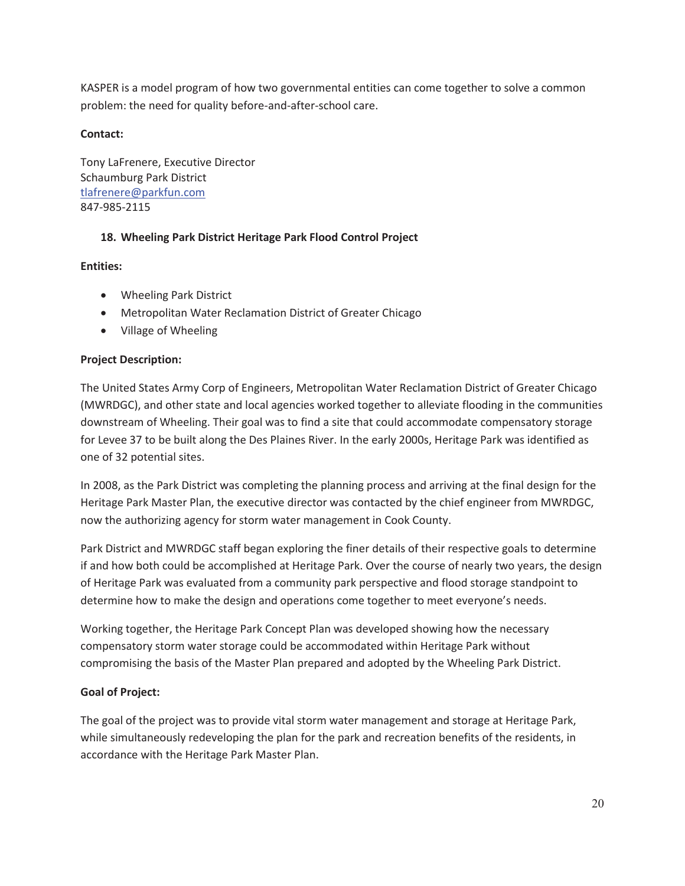KASPER is a model program of how two governmental entities can come together to solve a common problem: the need for quality before-and-after-school care.

# **Contact:**

Tony LaFrenere, Executive Director Schaumburg Park District tlafrenere@parkfun.com 847-985-2115

# **18. Wheeling Park District Heritage Park Flood Control Project**

# **Entities:**

- Wheeling Park District
- Metropolitan Water Reclamation District of Greater Chicago
- Village of Wheeling

# **Project Description:**

The United States Army Corp of Engineers, Metropolitan Water Reclamation District of Greater Chicago (MWRDGC), and other state and local agencies worked together to alleviate flooding in the communities downstream of Wheeling. Their goal was to find a site that could accommodate compensatory storage for Levee 37 to be built along the Des Plaines River. In the early 2000s, Heritage Park was identified as one of 32 potential sites.

In 2008, as the Park District was completing the planning process and arriving at the final design for the Heritage Park Master Plan, the executive director was contacted by the chief engineer from MWRDGC, now the authorizing agency for storm water management in Cook County.

Park District and MWRDGC staff began exploring the finer details of their respective goals to determine if and how both could be accomplished at Heritage Park. Over the course of nearly two years, the design of Heritage Park was evaluated from a community park perspective and flood storage standpoint to determine how to make the design and operations come together to meet everyone's needs.

Working together, the Heritage Park Concept Plan was developed showing how the necessary compensatory storm water storage could be accommodated within Heritage Park without compromising the basis of the Master Plan prepared and adopted by the Wheeling Park District.

# **Goal of Project:**

The goal of the project was to provide vital storm water management and storage at Heritage Park, while simultaneously redeveloping the plan for the park and recreation benefits of the residents, in accordance with the Heritage Park Master Plan.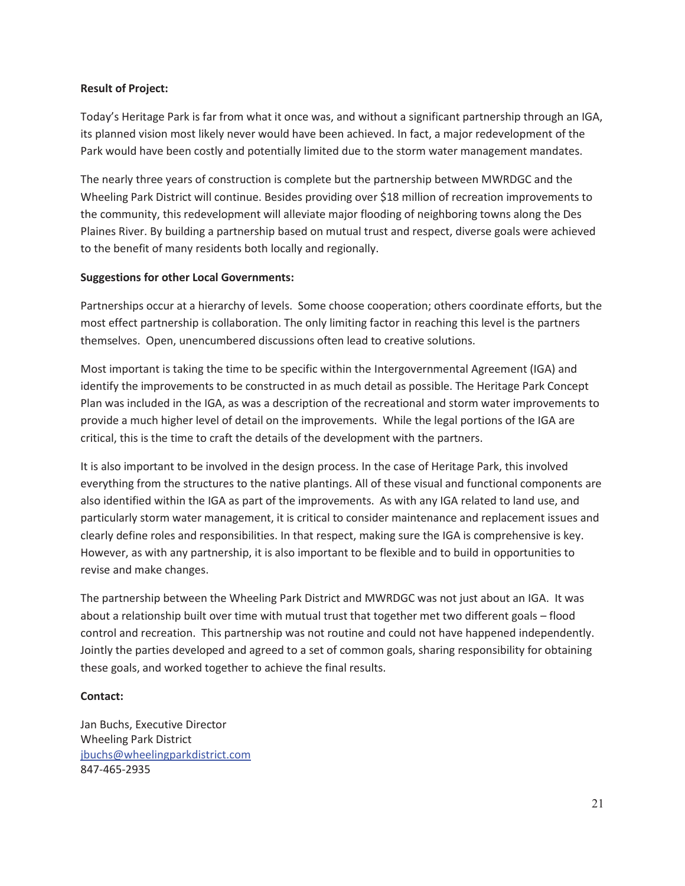#### **Result of Project:**

Today's Heritage Park is far from what it once was, and without a significant partnership through an IGA, its planned vision most likely never would have been achieved. In fact, a major redevelopment of the Park would have been costly and potentially limited due to the storm water management mandates.

The nearly three years of construction is complete but the partnership between MWRDGC and the Wheeling Park District will continue. Besides providing over \$18 million of recreation improvements to the community, this redevelopment will alleviate major flooding of neighboring towns along the Des Plaines River. By building a partnership based on mutual trust and respect, diverse goals were achieved to the benefit of many residents both locally and regionally.

# **Suggestions for other Local Governments:**

Partnerships occur at a hierarchy of levels. Some choose cooperation; others coordinate efforts, but the most effect partnership is collaboration. The only limiting factor in reaching this level is the partners themselves. Open, unencumbered discussions often lead to creative solutions.

Most important is taking the time to be specific within the Intergovernmental Agreement (IGA) and identify the improvements to be constructed in as much detail as possible. The Heritage Park Concept Plan was included in the IGA, as was a description of the recreational and storm water improvements to provide a much higher level of detail on the improvements. While the legal portions of the IGA are critical, this is the time to craft the details of the development with the partners.

It is also important to be involved in the design process. In the case of Heritage Park, this involved everything from the structures to the native plantings. All of these visual and functional components are also identified within the IGA as part of the improvements. As with any IGA related to land use, and particularly storm water management, it is critical to consider maintenance and replacement issues and clearly define roles and responsibilities. In that respect, making sure the IGA is comprehensive is key. However, as with any partnership, it is also important to be flexible and to build in opportunities to revise and make changes.

The partnership between the Wheeling Park District and MWRDGC was not just about an IGA. It was about a relationship built over time with mutual trust that together met two different goals – flood control and recreation. This partnership was not routine and could not have happened independently. Jointly the parties developed and agreed to a set of common goals, sharing responsibility for obtaining these goals, and worked together to achieve the final results.

# **Contact:**

Jan Buchs, Executive Director Wheeling Park District jbuchs@wheelingparkdistrict.com 847-465-2935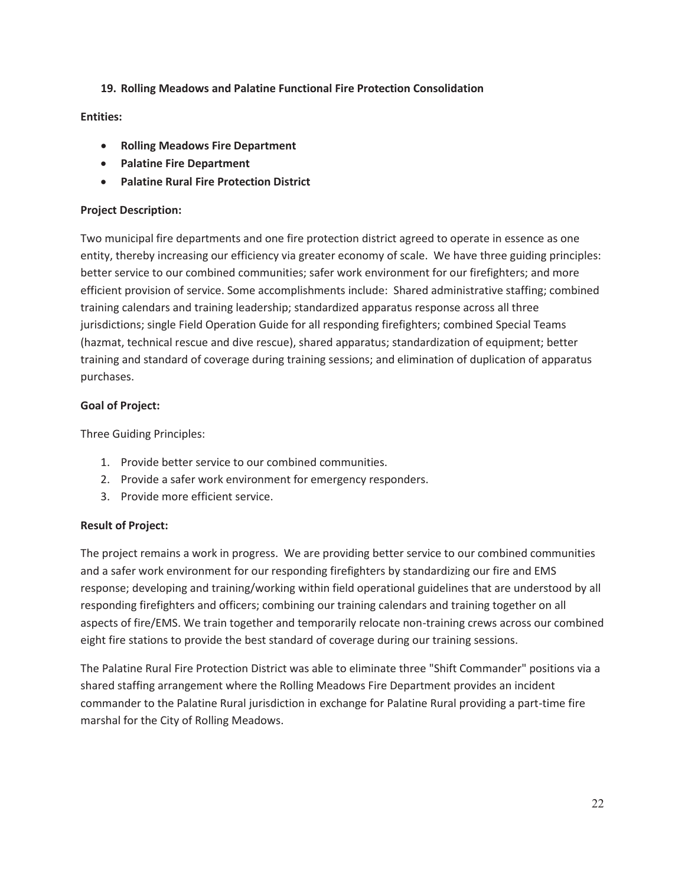# **19. Rolling Meadows and Palatine Functional Fire Protection Consolidation**

#### **Entities:**

- x **Rolling Meadows Fire Department**
- x **Palatine Fire Department**
- x **Palatine Rural Fire Protection District**

#### **Project Description:**

Two municipal fire departments and one fire protection district agreed to operate in essence as one entity, thereby increasing our efficiency via greater economy of scale. We have three guiding principles: better service to our combined communities; safer work environment for our firefighters; and more efficient provision of service. Some accomplishments include: Shared administrative staffing; combined training calendars and training leadership; standardized apparatus response across all three jurisdictions; single Field Operation Guide for all responding firefighters; combined Special Teams (hazmat, technical rescue and dive rescue), shared apparatus; standardization of equipment; better training and standard of coverage during training sessions; and elimination of duplication of apparatus purchases.

#### **Goal of Project:**

Three Guiding Principles:

- 1. Provide better service to our combined communities.
- 2. Provide a safer work environment for emergency responders.
- 3. Provide more efficient service.

#### **Result of Project:**

The project remains a work in progress. We are providing better service to our combined communities and a safer work environment for our responding firefighters by standardizing our fire and EMS response; developing and training/working within field operational guidelines that are understood by all responding firefighters and officers; combining our training calendars and training together on all aspects of fire/EMS. We train together and temporarily relocate non-training crews across our combined eight fire stations to provide the best standard of coverage during our training sessions.

The Palatine Rural Fire Protection District was able to eliminate three "Shift Commander" positions via a shared staffing arrangement where the Rolling Meadows Fire Department provides an incident commander to the Palatine Rural jurisdiction in exchange for Palatine Rural providing a part-time fire marshal for the City of Rolling Meadows.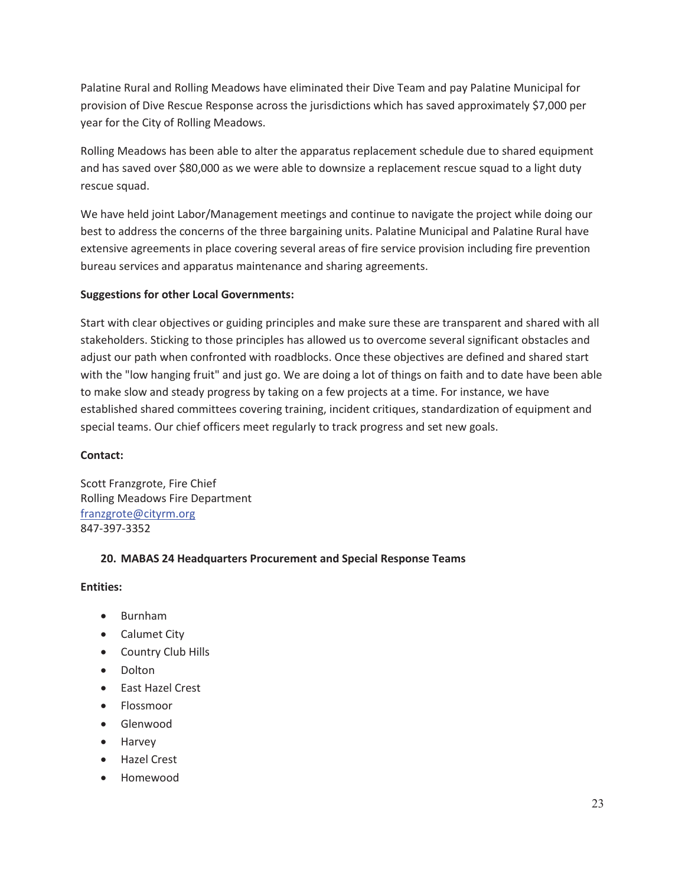Palatine Rural and Rolling Meadows have eliminated their Dive Team and pay Palatine Municipal for provision of Dive Rescue Response across the jurisdictions which has saved approximately \$7,000 per year for the City of Rolling Meadows.

Rolling Meadows has been able to alter the apparatus replacement schedule due to shared equipment and has saved over \$80,000 as we were able to downsize a replacement rescue squad to a light duty rescue squad.

We have held joint Labor/Management meetings and continue to navigate the project while doing our best to address the concerns of the three bargaining units. Palatine Municipal and Palatine Rural have extensive agreements in place covering several areas of fire service provision including fire prevention bureau services and apparatus maintenance and sharing agreements.

# **Suggestions for other Local Governments:**

Start with clear objectives or guiding principles and make sure these are transparent and shared with all stakeholders. Sticking to those principles has allowed us to overcome several significant obstacles and adjust our path when confronted with roadblocks. Once these objectives are defined and shared start with the "low hanging fruit" and just go. We are doing a lot of things on faith and to date have been able to make slow and steady progress by taking on a few projects at a time. For instance, we have established shared committees covering training, incident critiques, standardization of equipment and special teams. Our chief officers meet regularly to track progress and set new goals.

#### **Contact:**

Scott Franzgrote, Fire Chief Rolling Meadows Fire Department franzgrote@cityrm.org 847-397-3352

# **20. MABAS 24 Headquarters Procurement and Special Response Teams**

#### **Entities:**

- Burnham
- Calumet City
- Country Club Hills
- Dolton
- East Hazel Crest
- Flossmoor
- Glenwood
- Harvey
- Hazel Crest
- **Homewood**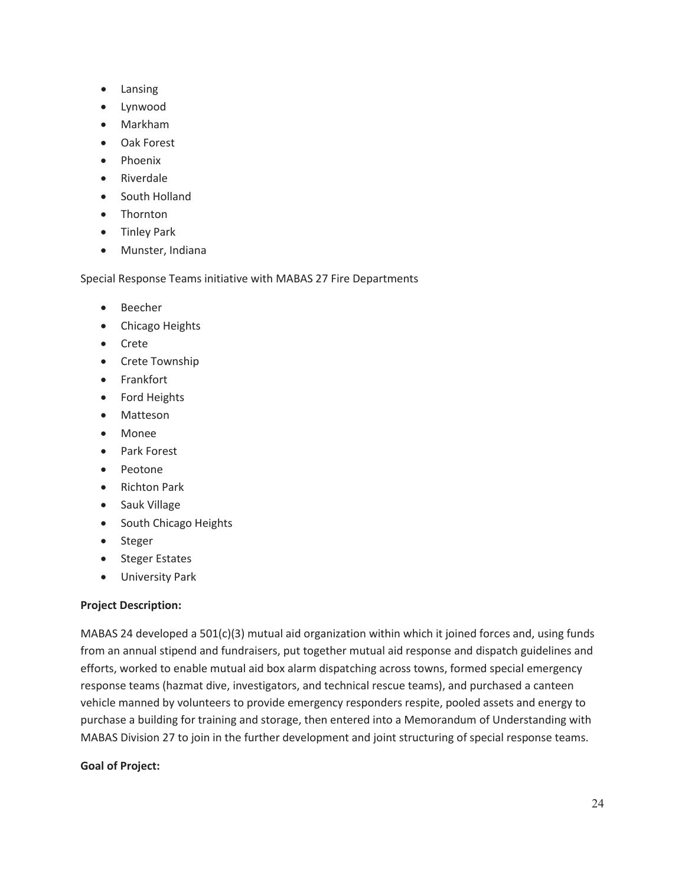- Lansing
- Lynwood
- Markham
- Oak Forest
- **Phoenix**
- Riverdale
- South Holland
- Thornton
- Tinley Park
- Munster, Indiana

Special Response Teams initiative with MABAS 27 Fire Departments

- Beecher
- Chicago Heights
- Crete
- Crete Township
- Frankfort
- Ford Heights
- Matteson
- Monee
- Park Forest
- Peotone
- Richton Park
- Sauk Village
- South Chicago Heights
- Steger
- Steger Estates
- University Park

#### **Project Description:**

MABAS 24 developed a 501(c)(3) mutual aid organization within which it joined forces and, using funds from an annual stipend and fundraisers, put together mutual aid response and dispatch guidelines and efforts, worked to enable mutual aid box alarm dispatching across towns, formed special emergency response teams (hazmat dive, investigators, and technical rescue teams), and purchased a canteen vehicle manned by volunteers to provide emergency responders respite, pooled assets and energy to purchase a building for training and storage, then entered into a Memorandum of Understanding with MABAS Division 27 to join in the further development and joint structuring of special response teams.

#### **Goal of Project:**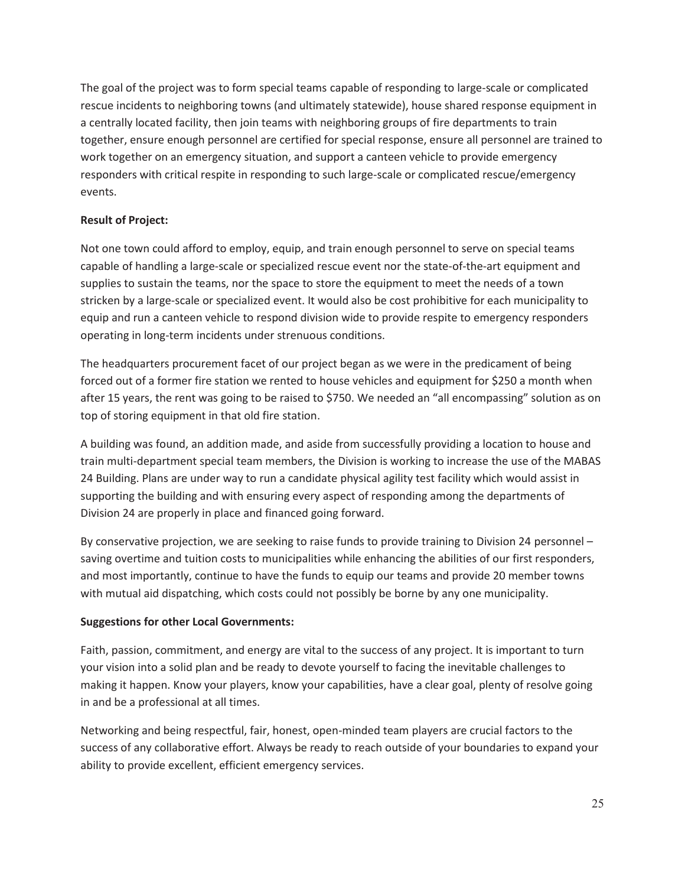The goal of the project was to form special teams capable of responding to large-scale or complicated rescue incidents to neighboring towns (and ultimately statewide), house shared response equipment in a centrally located facility, then join teams with neighboring groups of fire departments to train together, ensure enough personnel are certified for special response, ensure all personnel are trained to work together on an emergency situation, and support a canteen vehicle to provide emergency responders with critical respite in responding to such large-scale or complicated rescue/emergency events.

# **Result of Project:**

Not one town could afford to employ, equip, and train enough personnel to serve on special teams capable of handling a large-scale or specialized rescue event nor the state-of-the-art equipment and supplies to sustain the teams, nor the space to store the equipment to meet the needs of a town stricken by a large-scale or specialized event. It would also be cost prohibitive for each municipality to equip and run a canteen vehicle to respond division wide to provide respite to emergency responders operating in long-term incidents under strenuous conditions.

The headquarters procurement facet of our project began as we were in the predicament of being forced out of a former fire station we rented to house vehicles and equipment for \$250 a month when after 15 years, the rent was going to be raised to \$750. We needed an "all encompassing" solution as on top of storing equipment in that old fire station.

A building was found, an addition made, and aside from successfully providing a location to house and train multi-department special team members, the Division is working to increase the use of the MABAS 24 Building. Plans are under way to run a candidate physical agility test facility which would assist in supporting the building and with ensuring every aspect of responding among the departments of Division 24 are properly in place and financed going forward.

By conservative projection, we are seeking to raise funds to provide training to Division 24 personnel – saving overtime and tuition costs to municipalities while enhancing the abilities of our first responders, and most importantly, continue to have the funds to equip our teams and provide 20 member towns with mutual aid dispatching, which costs could not possibly be borne by any one municipality.

# **Suggestions for other Local Governments:**

Faith, passion, commitment, and energy are vital to the success of any project. It is important to turn your vision into a solid plan and be ready to devote yourself to facing the inevitable challenges to making it happen. Know your players, know your capabilities, have a clear goal, plenty of resolve going in and be a professional at all times.

Networking and being respectful, fair, honest, open-minded team players are crucial factors to the success of any collaborative effort. Always be ready to reach outside of your boundaries to expand your ability to provide excellent, efficient emergency services.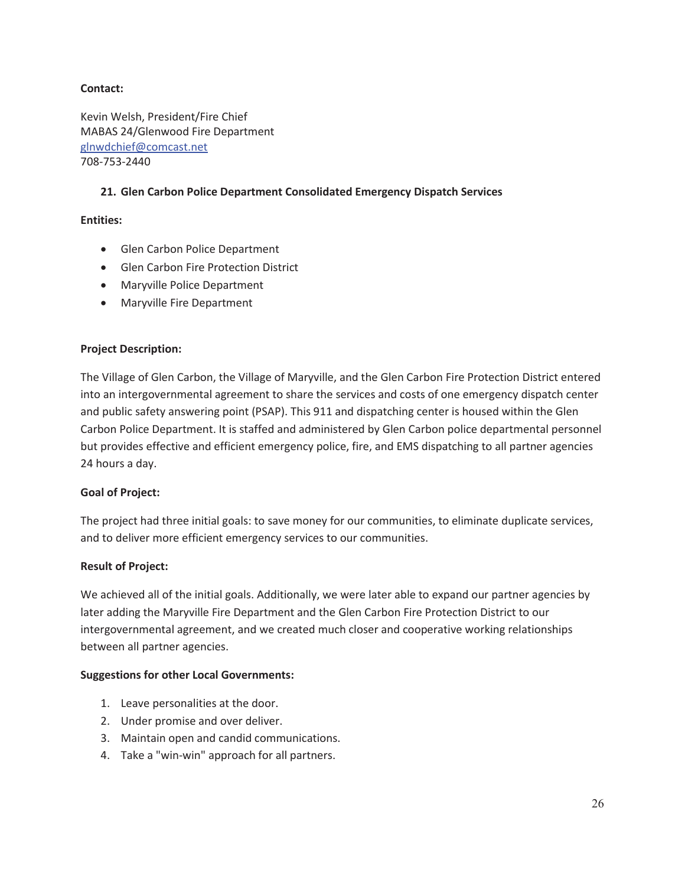#### **Contact:**

Kevin Welsh, President/Fire Chief MABAS 24/Glenwood Fire Department glnwdchief@comcast.net 708-753-2440

# **21. Glen Carbon Police Department Consolidated Emergency Dispatch Services**

#### **Entities:**

- Glen Carbon Police Department
- Glen Carbon Fire Protection District
- Maryville Police Department
- Maryville Fire Department

#### **Project Description:**

The Village of Glen Carbon, the Village of Maryville, and the Glen Carbon Fire Protection District entered into an intergovernmental agreement to share the services and costs of one emergency dispatch center and public safety answering point (PSAP). This 911 and dispatching center is housed within the Glen Carbon Police Department. It is staffed and administered by Glen Carbon police departmental personnel but provides effective and efficient emergency police, fire, and EMS dispatching to all partner agencies 24 hours a day.

#### **Goal of Project:**

The project had three initial goals: to save money for our communities, to eliminate duplicate services, and to deliver more efficient emergency services to our communities.

#### **Result of Project:**

We achieved all of the initial goals. Additionally, we were later able to expand our partner agencies by later adding the Maryville Fire Department and the Glen Carbon Fire Protection District to our intergovernmental agreement, and we created much closer and cooperative working relationships between all partner agencies.

#### **Suggestions for other Local Governments:**

- 1. Leave personalities at the door.
- 2. Under promise and over deliver.
- 3. Maintain open and candid communications.
- 4. Take a "win-win" approach for all partners.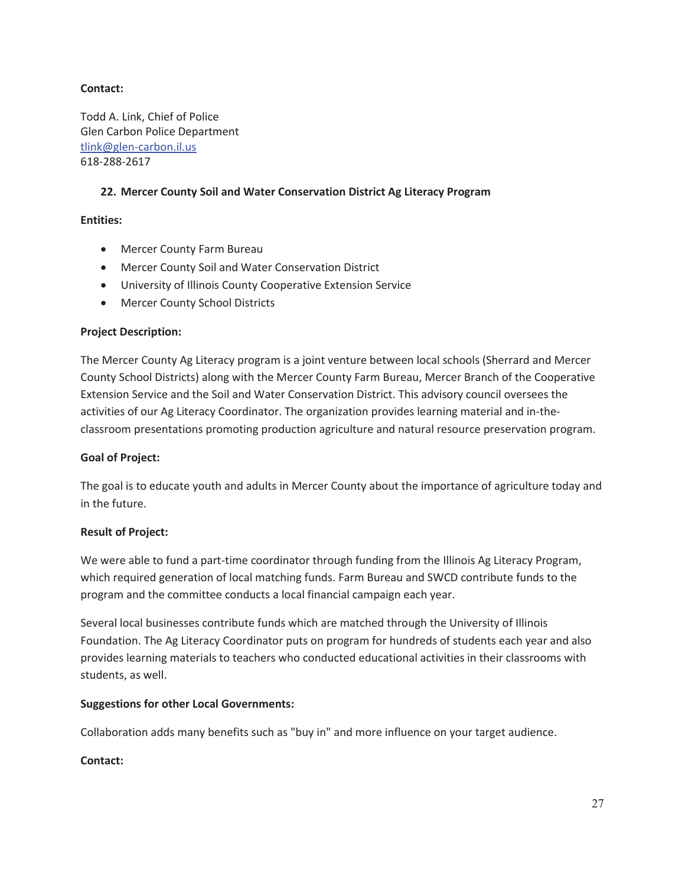# **Contact:**

Todd A. Link, Chief of Police Glen Carbon Police Department tlink@glen-carbon.il.us 618-288-2617

# **22. Mercer County Soil and Water Conservation District Ag Literacy Program**

# **Entities:**

- Mercer County Farm Bureau
- Mercer County Soil and Water Conservation District
- **•** University of Illinois County Cooperative Extension Service
- Mercer County School Districts

# **Project Description:**

The Mercer County Ag Literacy program is a joint venture between local schools (Sherrard and Mercer County School Districts) along with the Mercer County Farm Bureau, Mercer Branch of the Cooperative Extension Service and the Soil and Water Conservation District. This advisory council oversees the activities of our Ag Literacy Coordinator. The organization provides learning material and in-theclassroom presentations promoting production agriculture and natural resource preservation program.

#### **Goal of Project:**

The goal is to educate youth and adults in Mercer County about the importance of agriculture today and in the future.

# **Result of Project:**

We were able to fund a part-time coordinator through funding from the Illinois Ag Literacy Program, which required generation of local matching funds. Farm Bureau and SWCD contribute funds to the program and the committee conducts a local financial campaign each year.

Several local businesses contribute funds which are matched through the University of Illinois Foundation. The Ag Literacy Coordinator puts on program for hundreds of students each year and also provides learning materials to teachers who conducted educational activities in their classrooms with students, as well.

#### **Suggestions for other Local Governments:**

Collaboration adds many benefits such as "buy in" and more influence on your target audience.

#### **Contact:**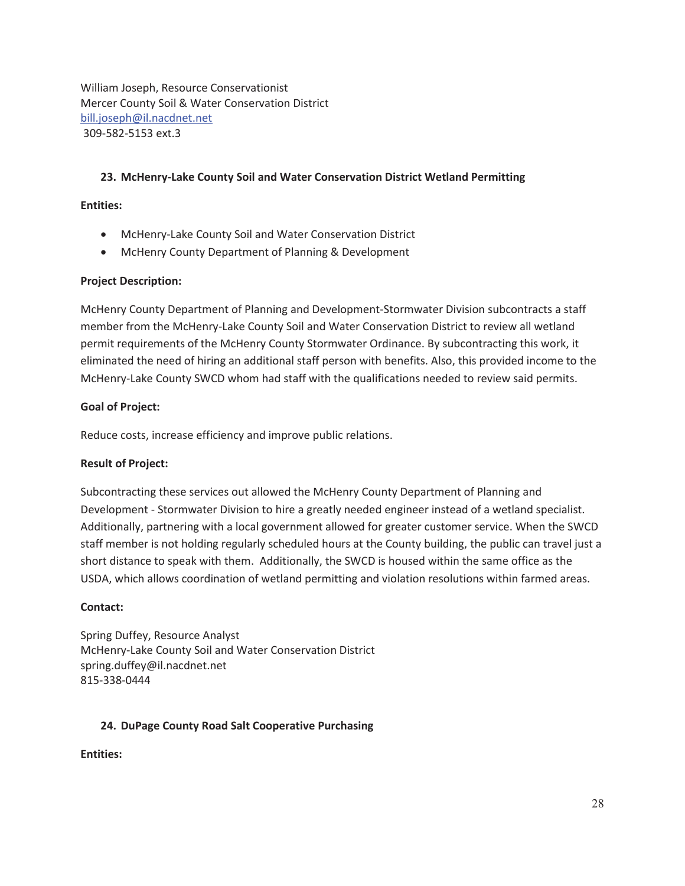William Joseph, Resource Conservationist Mercer County Soil & Water Conservation District bill.joseph@il.nacdnet.net 309-582-5153 ext.3

# **23. McHenry-Lake County Soil and Water Conservation District Wetland Permitting**

#### **Entities:**

- McHenry-Lake County Soil and Water Conservation District
- McHenry County Department of Planning & Development

#### **Project Description:**

McHenry County Department of Planning and Development-Stormwater Division subcontracts a staff member from the McHenry-Lake County Soil and Water Conservation District to review all wetland permit requirements of the McHenry County Stormwater Ordinance. By subcontracting this work, it eliminated the need of hiring an additional staff person with benefits. Also, this provided income to the McHenry-Lake County SWCD whom had staff with the qualifications needed to review said permits.

#### **Goal of Project:**

Reduce costs, increase efficiency and improve public relations.

#### **Result of Project:**

Subcontracting these services out allowed the McHenry County Department of Planning and Development - Stormwater Division to hire a greatly needed engineer instead of a wetland specialist. Additionally, partnering with a local government allowed for greater customer service. When the SWCD staff member is not holding regularly scheduled hours at the County building, the public can travel just a short distance to speak with them. Additionally, the SWCD is housed within the same office as the USDA, which allows coordination of wetland permitting and violation resolutions within farmed areas.

#### **Contact:**

Spring Duffey, Resource Analyst McHenry-Lake County Soil and Water Conservation District spring.duffey@il.nacdnet.net 815-338-0444

#### **24. DuPage County Road Salt Cooperative Purchasing**

**Entities:**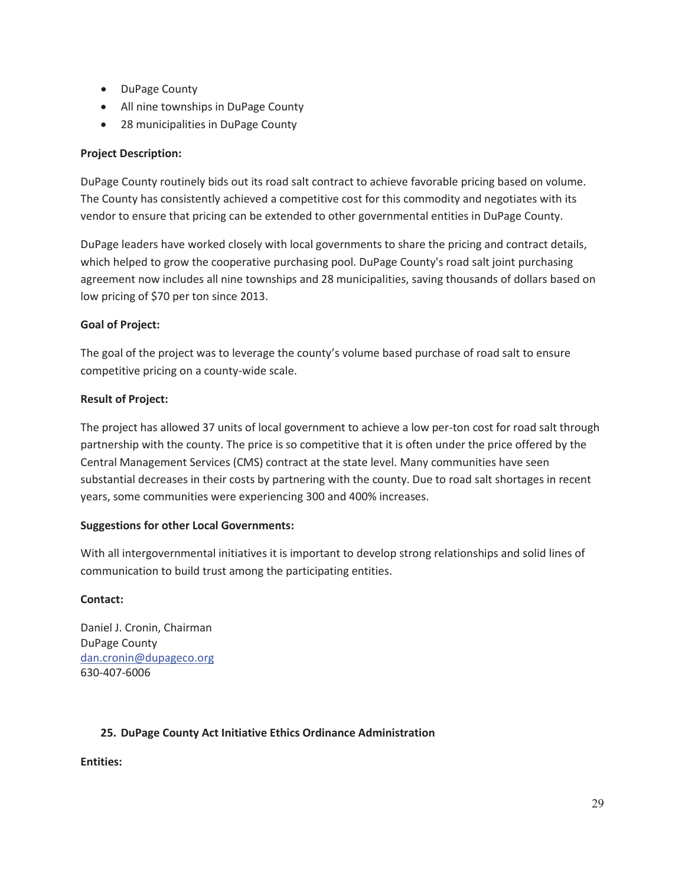- DuPage County
- All nine townships in DuPage County
- 28 municipalities in DuPage County

# **Project Description:**

DuPage County routinely bids out its road salt contract to achieve favorable pricing based on volume. The County has consistently achieved a competitive cost for this commodity and negotiates with its vendor to ensure that pricing can be extended to other governmental entities in DuPage County.

DuPage leaders have worked closely with local governments to share the pricing and contract details, which helped to grow the cooperative purchasing pool. DuPage County's road salt joint purchasing agreement now includes all nine townships and 28 municipalities, saving thousands of dollars based on low pricing of \$70 per ton since 2013.

# **Goal of Project:**

The goal of the project was to leverage the county's volume based purchase of road salt to ensure competitive pricing on a county-wide scale.

# **Result of Project:**

The project has allowed 37 units of local government to achieve a low per-ton cost for road salt through partnership with the county. The price is so competitive that it is often under the price offered by the Central Management Services (CMS) contract at the state level. Many communities have seen substantial decreases in their costs by partnering with the county. Due to road salt shortages in recent years, some communities were experiencing 300 and 400% increases.

#### **Suggestions for other Local Governments:**

With all intergovernmental initiatives it is important to develop strong relationships and solid lines of communication to build trust among the participating entities.

#### **Contact:**

Daniel J. Cronin, Chairman DuPage County dan.cronin@dupageco.org 630-407-6006

# **25. DuPage County Act Initiative Ethics Ordinance Administration**

**Entities:**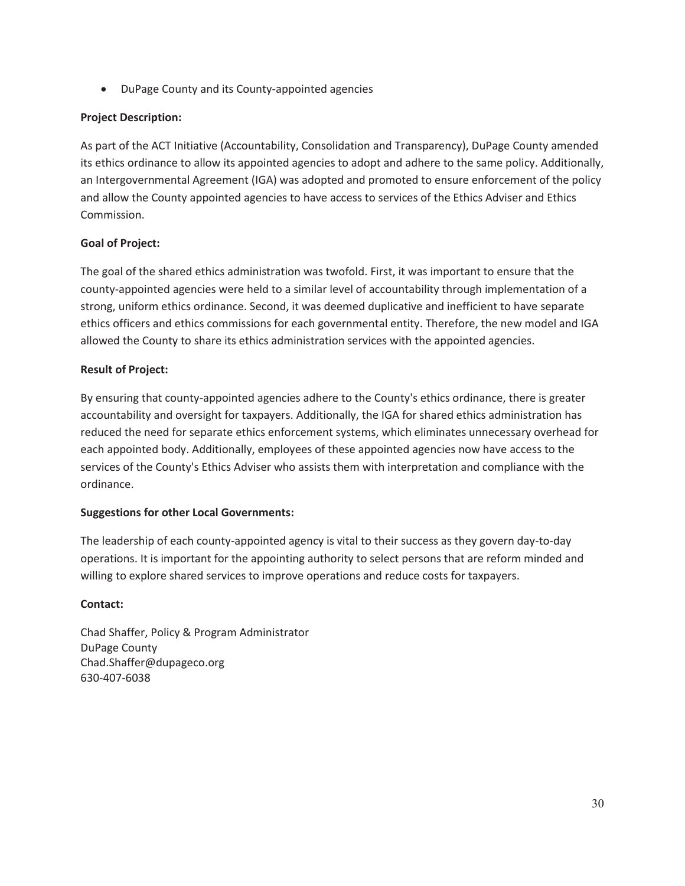• DuPage County and its County-appointed agencies

# **Project Description:**

As part of the ACT Initiative (Accountability, Consolidation and Transparency), DuPage County amended its ethics ordinance to allow its appointed agencies to adopt and adhere to the same policy. Additionally, an Intergovernmental Agreement (IGA) was adopted and promoted to ensure enforcement of the policy and allow the County appointed agencies to have access to services of the Ethics Adviser and Ethics Commission.

# **Goal of Project:**

The goal of the shared ethics administration was twofold. First, it was important to ensure that the county-appointed agencies were held to a similar level of accountability through implementation of a strong, uniform ethics ordinance. Second, it was deemed duplicative and inefficient to have separate ethics officers and ethics commissions for each governmental entity. Therefore, the new model and IGA allowed the County to share its ethics administration services with the appointed agencies.

# **Result of Project:**

By ensuring that county-appointed agencies adhere to the County's ethics ordinance, there is greater accountability and oversight for taxpayers. Additionally, the IGA for shared ethics administration has reduced the need for separate ethics enforcement systems, which eliminates unnecessary overhead for each appointed body. Additionally, employees of these appointed agencies now have access to the services of the County's Ethics Adviser who assists them with interpretation and compliance with the ordinance.

#### **Suggestions for other Local Governments:**

The leadership of each county-appointed agency is vital to their success as they govern day-to-day operations. It is important for the appointing authority to select persons that are reform minded and willing to explore shared services to improve operations and reduce costs for taxpayers.

#### **Contact:**

Chad Shaffer, Policy & Program Administrator DuPage County Chad.Shaffer@dupageco.org 630-407-6038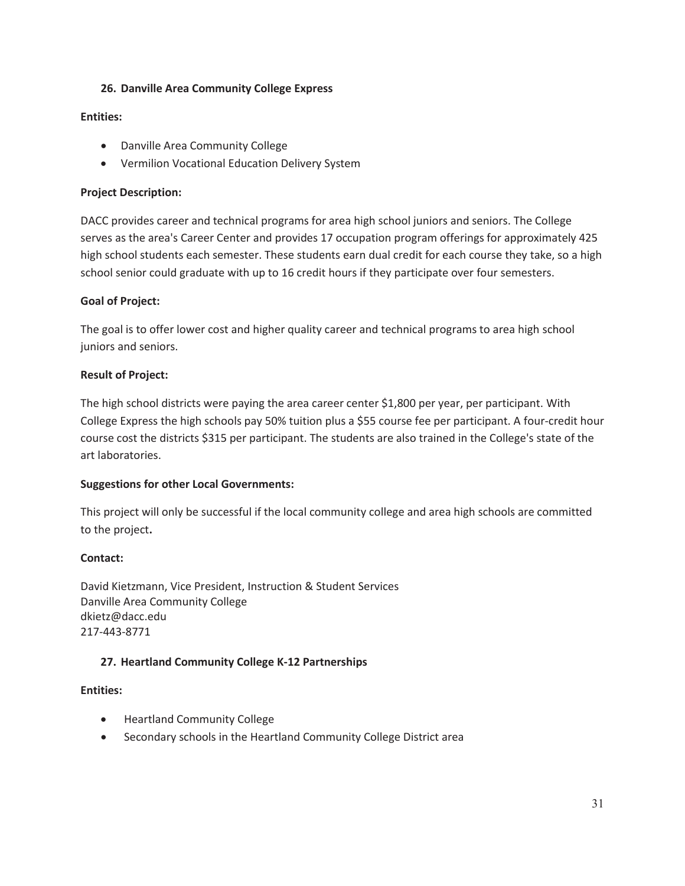#### **26. Danville Area Community College Express**

#### **Entities:**

- Danville Area Community College
- Vermilion Vocational Education Delivery System

#### **Project Description:**

DACC provides career and technical programs for area high school juniors and seniors. The College serves as the area's Career Center and provides 17 occupation program offerings for approximately 425 high school students each semester. These students earn dual credit for each course they take, so a high school senior could graduate with up to 16 credit hours if they participate over four semesters.

# **Goal of Project:**

The goal is to offer lower cost and higher quality career and technical programs to area high school juniors and seniors.

# **Result of Project:**

The high school districts were paying the area career center \$1,800 per year, per participant. With College Express the high schools pay 50% tuition plus a \$55 course fee per participant. A four-credit hour course cost the districts \$315 per participant. The students are also trained in the College's state of the art laboratories.

#### **Suggestions for other Local Governments:**

This project will only be successful if the local community college and area high schools are committed to the project**.** 

#### **Contact:**

David Kietzmann, Vice President, Instruction & Student Services Danville Area Community College dkietz@dacc.edu 217-443-8771

#### **27. Heartland Community College K-12 Partnerships**

#### **Entities:**

- Heartland Community College
- Secondary schools in the Heartland Community College District area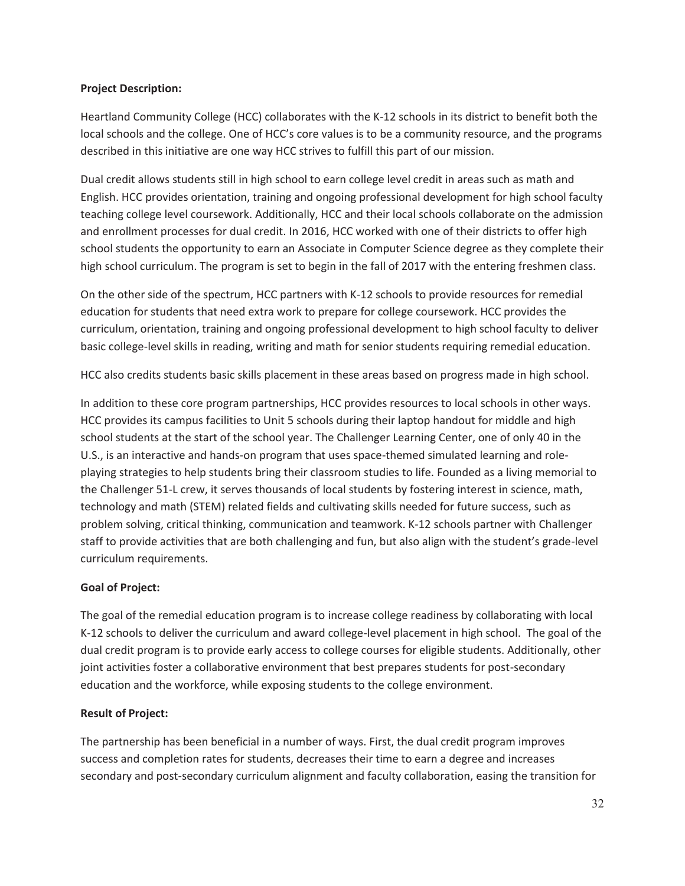#### **Project Description:**

Heartland Community College (HCC) collaborates with the K-12 schools in its district to benefit both the local schools and the college. One of HCC's core values is to be a community resource, and the programs described in this initiative are one way HCC strives to fulfill this part of our mission.

Dual credit allows students still in high school to earn college level credit in areas such as math and English. HCC provides orientation, training and ongoing professional development for high school faculty teaching college level coursework. Additionally, HCC and their local schools collaborate on the admission and enrollment processes for dual credit. In 2016, HCC worked with one of their districts to offer high school students the opportunity to earn an Associate in Computer Science degree as they complete their high school curriculum. The program is set to begin in the fall of 2017 with the entering freshmen class.

On the other side of the spectrum, HCC partners with K-12 schools to provide resources for remedial education for students that need extra work to prepare for college coursework. HCC provides the curriculum, orientation, training and ongoing professional development to high school faculty to deliver basic college-level skills in reading, writing and math for senior students requiring remedial education.

HCC also credits students basic skills placement in these areas based on progress made in high school.

In addition to these core program partnerships, HCC provides resources to local schools in other ways. HCC provides its campus facilities to Unit 5 schools during their laptop handout for middle and high school students at the start of the school year. The Challenger Learning Center, one of only 40 in the U.S., is an interactive and hands-on program that uses space-themed simulated learning and roleplaying strategies to help students bring their classroom studies to life. Founded as a living memorial to the Challenger 51-L crew, it serves thousands of local students by fostering interest in science, math, technology and math (STEM) related fields and cultivating skills needed for future success, such as problem solving, critical thinking, communication and teamwork. K-12 schools partner with Challenger staff to provide activities that are both challenging and fun, but also align with the student's grade-level curriculum requirements.

# **Goal of Project:**

The goal of the remedial education program is to increase college readiness by collaborating with local K-12 schools to deliver the curriculum and award college-level placement in high school. The goal of the dual credit program is to provide early access to college courses for eligible students. Additionally, other joint activities foster a collaborative environment that best prepares students for post-secondary education and the workforce, while exposing students to the college environment.

# **Result of Project:**

The partnership has been beneficial in a number of ways. First, the dual credit program improves success and completion rates for students, decreases their time to earn a degree and increases secondary and post-secondary curriculum alignment and faculty collaboration, easing the transition for